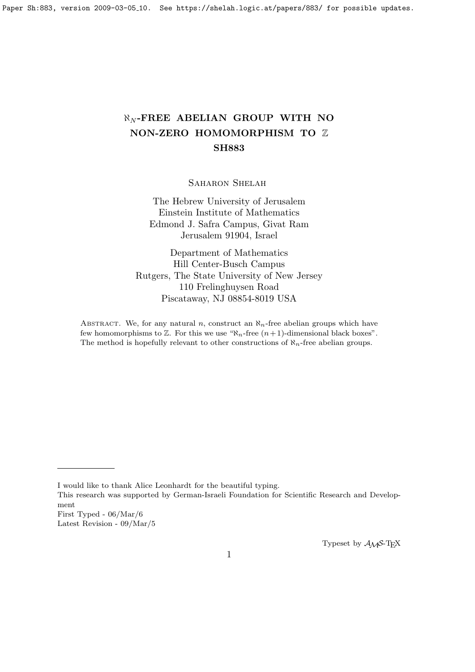# $\aleph_N$ -FREE ABELIAN GROUP WITH NO NON-ZERO HOMOMORPHISM TO Z SH883

SAHARON SHELAH

The Hebrew University of Jerusalem Einstein Institute of Mathematics Edmond J. Safra Campus, Givat Ram Jerusalem 91904, Israel

Department of Mathematics Hill Center-Busch Campus Rutgers, The State University of New Jersey 110 Frelinghuysen Road Piscataway, NJ 08854-8019 USA

ABSTRACT. We, for any natural n, construct an  $\aleph_n$ -free abelian groups which have few homomorphisms to  $\mathbb{Z}$ . For this we use " $\aleph_n$ -free  $(n+1)$ -dimensional black boxes". The method is hopefully relevant to other constructions of  $\aleph_n$ -free abelian groups.

This research was supported by German-Israeli Foundation for Scientific Research and Development

Typeset by  $A\mathcal{M}S$ -T<sub>E</sub>X

I would like to thank Alice Leonhardt for the beautiful typing.

First Typed - 06/Mar/6 Latest Revision - 09/Mar/5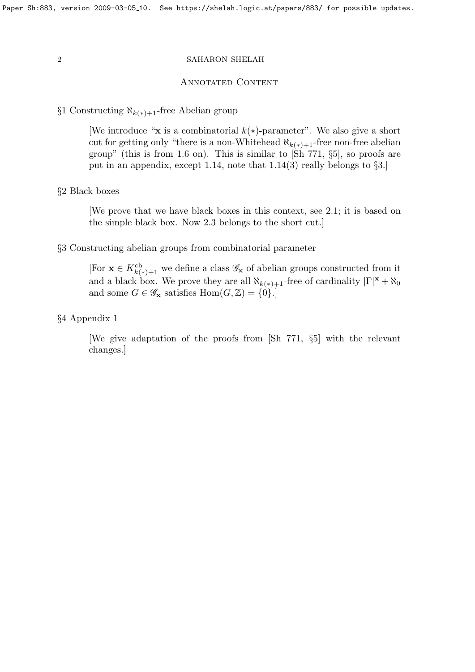## Annotated Content

§1 Constructing  $\aleph_{k(*)+1}$ -free Abelian group

[We introduce "x is a combinatorial  $k(*)$ -parameter". We also give a short cut for getting only "there is a non-Whitehead  $\aleph_{k(*)+1}$ -free non-free abelian group" (this is from 1.6 on). This is similar to  $[\text{Sh } 771, \S 5]$ , so proofs are put in an appendix, except 1.14, note that  $1.14(3)$  really belongs to §3.]

# §2 Black boxes

[We prove that we have black boxes in this context, see 2.1; it is based on the simple black box. Now 2.3 belongs to the short cut.]

# §3 Constructing abelian groups from combinatorial parameter

[For  $\mathbf{x} \in K^{\text{cb}}_{k(*)+1}$  we define a class  $\mathscr{G}_{\mathbf{x}}$  of abelian groups constructed from it and a black box. We prove they are all  $\aleph_{k(*)+1}$ -free of cardinality  $|\Gamma|^{\mathbf{x}} + \aleph_0$ and some  $G \in \mathscr{G}_{\mathbf{x}}$  satisfies  $\text{Hom}(G, \mathbb{Z}) = \{0\}.$ 

§4 Appendix 1

[We give adaptation of the proofs from [Sh 771, §5] with the relevant changes.]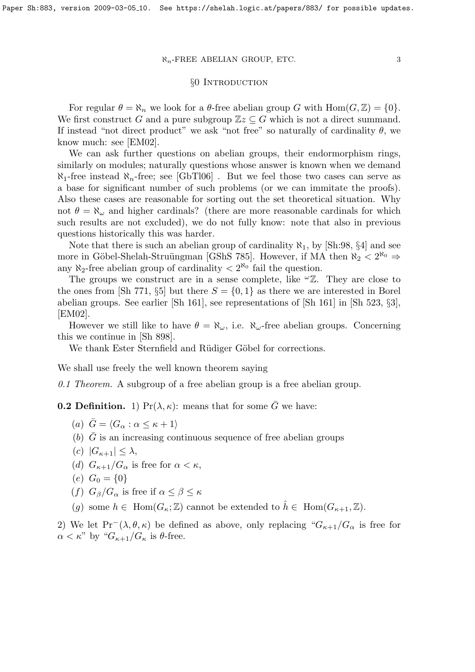# §0 INTRODUCTION

For regular  $\theta = \aleph_n$  we look for a  $\theta$ -free abelian group G with  $\text{Hom}(G, \mathbb{Z}) = \{0\}.$ We first construct G and a pure subgroup  $\mathbb{Z}z \subseteq G$  which is not a direct summand. If instead "not direct product" we ask "not free" so naturally of cardinality  $\theta$ , we know much: see [EM02].

We can ask further questions on abelian groups, their endormorphism rings, similarly on modules; naturally questions whose answer is known when we demand  $\aleph_1$ -free instead  $\aleph_n$ -free; see [GbTl06]. But we feel those two cases can serve as a base for significant number of such problems (or we can immitate the proofs). Also these cases are reasonable for sorting out the set theoretical situation. Why not  $\theta = \aleph_{\omega}$  and higher cardinals? (there are more reasonable cardinals for which such results are not excluded), we do not fully know: note that also in previous questions historically this was harder.

Note that there is such an abelian group of cardinality  $\aleph_1$ , by [Sh:98, §4] and see more in Göbel-Shelah-Struüngman [GShS 785]. However, if MA then  $\aleph_2 < 2^{\aleph_0} \Rightarrow$ any  $\aleph_2$ -free abelian group of cardinality  $\lt 2^{\aleph_0}$  fail the question.

The groups we construct are in a sense complete, like  $\omega Z$ . They are close to the ones from [Sh 771, §5] but there  $S = \{0, 1\}$  as there we are interested in Borel abelian groups. See earlier [Sh 161], see representations of [Sh 161] in [Sh 523, §3], [EM02].

However we still like to have  $\theta = \aleph_{\omega}$ , i.e.  $\aleph_{\omega}$ -free abelian groups. Concerning this we continue in [Sh 898].

We thank Ester Sternfield and Rüdiger Göbel for corrections.

We shall use freely the well known theorem saying

0.1 Theorem. A subgroup of a free abelian group is a free abelian group.

**0.2 Definition.** 1)  $Pr(\lambda, \kappa)$ : means that for some  $\overline{G}$  we have:

- (a)  $\bar{G} = \langle G_{\alpha} : \alpha \leq \kappa + 1 \rangle$
- (b)  $\overline{G}$  is an increasing continuous sequence of free abelian groups
- (c)  $|G_{\kappa+1}| \leq \lambda$ ,
- (d)  $G_{\kappa+1}/G_\alpha$  is free for  $\alpha < \kappa$ ,
- (e)  $G_0 = \{0\}$
- (f)  $G_{\beta}/G_{\alpha}$  is free if  $\alpha \leq \beta \leq \kappa$
- (g) some  $h \in \text{Hom}(G_{\kappa}; \mathbb{Z})$  cannot be extended to  $\hat{h} \in \text{Hom}(G_{\kappa+1}, \mathbb{Z})$ .

2) We let Pr<sup>-</sup>( $\lambda, \theta, \kappa$ ) be defined as above, only replacing " $G_{\kappa+1}/G_{\alpha}$  is free for  $\alpha < \kappa$ " by " $G_{\kappa+1}/G_{\kappa}$  is  $\theta$ -free.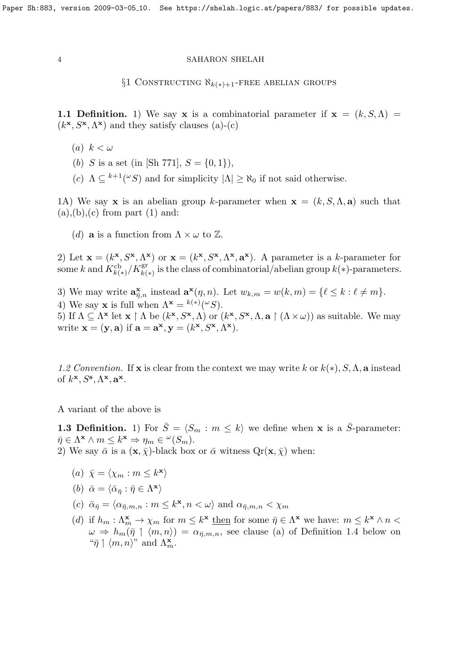$\S1$  CONSTRUCTING  $\aleph_{k(*)+1}$ -FREE ABELIAN GROUPS

1.1 Definition. 1) We say x is a combinatorial parameter if  $x = (k, S, \Lambda) =$  $(k^{\mathbf{x}}, S^{\mathbf{x}}, \Lambda^{\mathbf{x}})$  and they satisfy clauses (a)-(c)

- (a)  $k < \omega$
- (b) S is a set (in [Sh 771],  $S = \{0, 1\}$ ),
- (c)  $\Lambda \subseteq {}^{k+1}({}^{\omega}S)$  and for simplicity  $|\Lambda| \geq \aleph_0$  if not said otherwise.

1A) We say x is an abelian group k-parameter when  $x = (k, S, \Lambda, a)$  such that  $(a), (b), (c)$  from part  $(1)$  and:

(d) **a** is a function from  $\Lambda \times \omega$  to  $\mathbb{Z}$ .

2) Let  $\mathbf{x} = (k^{\mathbf{x}}, S^{\mathbf{x}}, \Lambda^{\mathbf{x}})$  or  $\mathbf{x} = (k^{\mathbf{x}}, S^{\mathbf{x}}, \Lambda^{\mathbf{x}}, \mathbf{a}^{\mathbf{x}})$ . A parameter is a k-parameter for some k and  $K_{k(*)}^{cb}/K_{k(*)}^{gr}$  is the class of combinatorial/abelian group  $k(*)$ -parameters.

3) We may write  $\mathbf{a}_{\overline{\eta},n}^{\mathbf{x}}$  instead  $\mathbf{a}^{\mathbf{x}}(\eta,n)$ . Let  $w_{k,m} = w(k,m) = \{ \ell \leq k : \ell \neq m \}.$ 4) We say **x** is full when  $\Lambda^{\mathbf{x}} = {^{k(*)}}({}^{\omega}S)$ . 5) If  $\Lambda \subseteq \Lambda^{\mathbf{x}}$  let  $\mathbf{x} \restriction \Lambda$  be  $(k^{\mathbf{x}}, S^{\mathbf{x}}, \Lambda)$  or  $(k^{\mathbf{x}}, S^{\mathbf{x}}, \Lambda, \mathbf{a} \restriction (\Lambda \times \omega))$  as suitable. We may write  $\mathbf{x} = (\mathbf{y}, \mathbf{a})$  if  $\mathbf{a} = \mathbf{a}^{\mathbf{x}}, \mathbf{y} = (k^{\mathbf{x}}, S^{\mathbf{x}}, \Lambda^{\mathbf{x}})$ .

1.2 Convention. If **x** is clear from the context we may write k or  $k(*)$ , S,  $\Lambda$ , a instead of  $k^{\mathbf{x}}, S^{\mathbf{s}}, \Lambda^{\mathbf{x}}, \mathbf{a}^{\mathbf{x}}$ .

A variant of the above is

**1.3 Definition.** 1) For  $\bar{S} = \langle S_m : m \leq k \rangle$  we define when **x** is a  $\bar{S}$ -parameter:  $\bar{\eta} \in \Lambda^{\mathbf{x}} \wedge m \leq k^{\mathbf{x}} \Rightarrow \eta_m \in {}^{\omega}(S_m).$ 2) We say  $\bar{\alpha}$  is a  $(\mathbf{x}, \bar{\chi})$ -black box or  $\bar{\alpha}$  witness  $Qr(\mathbf{x}, \bar{\chi})$  when:

(a)  $\bar{\chi} = \langle \chi_m : m \leq k^{\mathbf{x}} \rangle$ 

(b) 
$$
\bar{\alpha} = \langle \bar{\alpha}_{\bar{\eta}} : \bar{\eta} \in \Lambda^{\mathbf{x}} \rangle
$$

- (c)  $\bar{\alpha}_{\bar{\eta}} = \langle \alpha_{\bar{\eta},m,n} : m \leq k^{\mathbf{x}}, n < \omega \rangle$  and  $\alpha_{\bar{\eta},m,n} < \chi_m$
- (d) if  $h_m: \Lambda_m^{\mathbf{x}} \to \chi_m$  for  $m \leq k^{\mathbf{x}}$  then for some  $\bar{\eta} \in \Lambda^{\mathbf{x}}$  we have:  $m \leq k^{\mathbf{x}} \wedge n <$  $\omega \Rightarrow h_m(\bar{\eta} \restriction \langle m, n \rangle) = \alpha_{\bar{\eta},m,n}$ , see clause (a) of Definition 1.4 below on " $\bar{\eta} \upharpoonleft \langle m, n \rangle$ " and  $\Lambda_m^{\mathbf{x}}$ .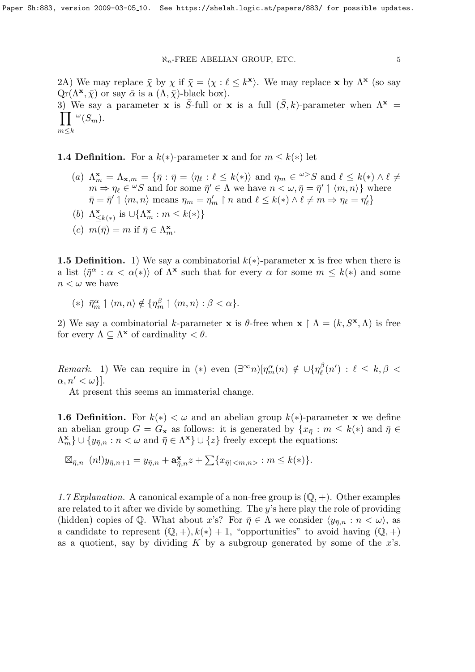2A) We may replace  $\bar{\chi}$  by  $\chi$  if  $\bar{\chi} = \langle \chi : \ell \leq k^{\mathbf{x}} \rangle$ . We may replace x by  $\Lambda^{\mathbf{x}}$  (so say  $\mathbb{Q}r(\Lambda^{\mathbf{x}}, \bar{\chi})$  or say  $\bar{\alpha}$  is a  $(\Lambda, \bar{\chi})$ -black box). 3) We say a parameter **x** is  $\overline{S}$ -full or **x** is a full  $(\overline{S}, k)$ -parameter when  $\Lambda^*$  $\prod \,^{\omega}(S_m).$  $m \leq k$ 

**1.4 Definition.** For a  $k(*)$ -parameter **x** and for  $m \leq k(*)$  let

- (a)  $\Lambda_m^{\mathbf{x}} = \Lambda_{\mathbf{x},m} = \{ \bar{\eta} : \bar{\eta} = \langle \eta_\ell : \ell \leq k(*) \rangle \text{ and } \eta_m \in \ell^{\omega} > S \text{ and } \ell \leq k(*) \wedge \ell \neq \ell^{\omega} \}$  $m \to \eta_{\ell} \in {}^{\omega}S$  and for some  $\bar{\eta}' \in \Lambda$  we have  $n < \omega, \bar{\eta} = \bar{\eta}' \mid \langle m, n \rangle$  where  $\bar{\eta} = \bar{\eta}' \mid \langle m, n \rangle$  means  $\eta_m = \eta'_m \upharpoonright n$  and  $\ell \leq k(*) \wedge \ell \neq m \Rightarrow \eta_\ell = \eta'_\ell$
- (b)  $\Lambda_{\leq k(*)}^{\mathbf{x}}$  is  $\cup \{\Lambda_m^{\mathbf{x}} : m \leq k(*)\}$
- (c)  $m(\bar{\eta}) = m$  if  $\bar{\eta} \in \Lambda_m^{\mathbf{x}}$ .

**1.5 Definition.** 1) We say a combinatorial  $k(*)$ -parameter **x** is free when there is a list  $\langle \bar{\eta}^{\alpha} : \alpha < \alpha(*) \rangle$  of  $\Lambda^{\mathbf{x}}$  such that for every  $\alpha$  for some  $m \leq k(*)$  and some  $n < \omega$  we have

(\*)  $\bar{\eta}_m^{\alpha} \mid \langle m, n \rangle \notin \{ \eta_m^{\beta} \mid \langle m, n \rangle : \beta < \alpha \}.$ 

2) We say a combinatorial k-parameter **x** is  $\theta$ -free when **x**  $\upharpoonright \Lambda = (k, S^{\mathbf{x}}, \Lambda)$  is free for every  $\Lambda \subseteq \Lambda^{\mathbf{x}}$  of cardinality  $\lt \theta$ .

*Remark.* 1) We can require in (\*) even  $(\exists^{\infty} n)[\eta_m^{\alpha}(n) \notin \cup {\eta_{\ell}^{\beta}}$  $\lambda_{\ell}^{\beta}(n')$  :  $\ell \leq k, \beta <$  $\alpha, n' < \omega$ }].

At present this seems an immaterial change.

**1.6 Definition.** For  $k(*) < \omega$  and an abelian group  $k(*)$ -parameter x we define an abelian group  $G = G_x$  as follows: it is generated by  $\{x_{\overline{\eta}} : m \leq k(*) \text{ and } \overline{\eta} \in$  $\{\Lambda_m^{\mathbf{x}}\}\cup \{y_{\bar{\eta},n}:n<\omega\text{ and }\bar{\eta}\in \Lambda^{\mathbf{x}}\}\cup \{z\}$  freely except the equations:

$$
\boxtimes_{\bar{\eta},n} (n!)y_{\bar{\eta},n+1} = y_{\bar{\eta},n} + \mathbf{a}_{\bar{\eta},n}^{\mathbf{x}} z + \sum \{x_{\bar{\eta}|} : m \leq k(*)\}.
$$

1.7 Explanation. A canonical example of a non-free group is  $(\mathbb{Q}, +)$ . Other examples are related to it after we divide by something. The  $y$ 's here play the role of providing (hidden) copies of Q. What about x's? For  $\bar{\eta} \in \Lambda$  we consider  $\langle y_{\bar{n},n} : n < \omega \rangle$ , as a candidate to represent  $(\mathbb{Q}, +), k(*) + 1$ , "opportunities" to avoid having  $(\mathbb{Q}, +)$ as a quotient, say by dividing K by a subgroup generated by some of the  $x$ 's.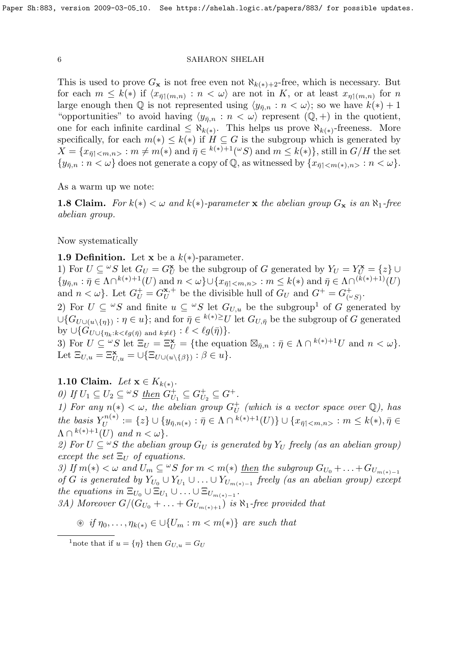This is used to prove  $G_x$  is not free even not  $\aleph_{k(*)+2}$ -free, which is necessary. But for each  $m \leq k(*)$  if  $\langle x_{\bar{\eta}(\{m,n\})}: n < \omega \rangle$  are not in K, or at least  $x_{\eta}(\{m,n\})$  for n large enough then Q is not represented using  $\langle y_{\bar{\eta},n} : n < \omega \rangle$ ; so we have  $k(*) + 1$ "opportunities" to avoid having  $\langle y_{\bar{n},n} : n \langle \omega \rangle$  represent  $(\mathbb{Q}, +)$  in the quotient, one for each infinite cardinal  $\leq \aleph_{k(*)}$ . This helps us prove  $\aleph_{k(*)}$ -freeness. More specifically, for each  $m(*) \leq k(*)$  if  $H \subseteq G$  is the subgroup which is generated by  $X = \{x_{\bar{\eta} \mid < m,n>} : m \neq m(*) \text{ and } \bar{\eta} \in {}^{k(*)+1}({}^{\omega}S) \text{ and } m \leq k(*)\},\text{still in } G/H \text{ the set }$  $\{y_{\bar{n},n} : n < \omega\}$  does not generate a copy of  $\mathbb{Q}$ , as witnessed by  $\{x_{\bar{n}|}: n < \omega\}$ .

As a warm up we note:

1.8 Claim. For  $k(*) < \omega$  and  $k(*)$ -parameter x the abelian group  $G_x$  is an  $\aleph_1$ -free abelian group.

Now systematically

1.9 Definition. Let x be a  $k(*)$ -parameter.

1) For  $U \subseteq {}^{\omega}S$  let  $G_U = G_U^{\mathbf{x}}$  be the subgroup of G generated by  $Y_U = Y_U^{\mathbf{x}} = \{z\} \cup$  $\{y_{\bar{\eta},n} : \bar{\eta} \in \Lambda \cap^{k(*)+1}(U) \text{ and } n < \omega\} \cup \{x_{\bar{\eta}|} : m \leq k(*) \text{ and } \bar{\eta} \in \Lambda \cap^{(k(*)+1)}(U)$ and  $n < \omega$ . Let  $G_U^+ = G_U^{\mathbf{x},+}$  $U^{(k+1)}$  be the divisible hull of  $G_U$  and  $G^+ = G_{(4)}^+$  $\overset{\leftarrow}{(\overset{\leftarrow}{\phantom{\sim}} S)}$ .

2) For  $U \subseteq {}^{\omega}S$  and finite  $u \subseteq {}^{\omega}S$  let  $G_{U,u}$  be the subgroup<sup>1</sup> of G generated by  $\cup$  $\{G_{U\cup (u\setminus\{\eta\})}:\eta\in u\}$ ; and for  $\bar{\eta}\in {}^{k(*)\geq}U$  let  $G_{U,\bar{\eta}}$  be the subgroup of G generated by  $\bigcup \{G_{U\cup \{\eta_k:k<\ell g(\bar{\eta})\text{ and }k\neq \ell\}} : \ell < \ell g(\bar{\eta})\}.$ 

3) For  $U \subseteq {}^{\omega}S$  let  $\Xi_U = \Xi_U^{\mathbf{x}} = \{\text{the equation } \boxtimes_{\bar{\eta},n} : \bar{\eta} \in \Lambda \cap {}^{k(*)+1}U \text{ and } n < \omega\}.$ Let  $\Xi_{U,u} = \Xi_{U,u}^{\mathbf{x}} = \cup \{\Xi_{U\cup(u\setminus\{\beta\})} : \beta \in u\}.$ 

1.10 Claim. Let  $\mathbf{x} \in K_{k(*)}$ .

0) If  $U_1 \subseteq U_2 \subseteq {}^{\omega}S$  then  $G_U^+$  $U_1 \subseteq G_U^+$  $U_2^+ \subseteq G^+.$ 

1) For any  $n(*) < \omega$ , the abelian group  $G_{II}^+$  $_U^+$  (which is a vector space over  $\mathbb{Q}$ ), has the basis  $Y_{II}^{n(*)}$  $U^{n(*)}_{U} := \{z\} \cup \{y_{\bar{\eta},n(*)}: \bar{\eta} \in \Lambda \cap {}^{k(*)+1}(U)\} \cup \{x_{\bar{\eta} | < m,n >}: m \leq k(*) , \bar{\eta} \in {\mathbb C} \}$  $\Lambda \cap {}^{k(*)+1}(U)$  and  $n < \omega$ .

2) For  $U \subseteq {}^{\omega}S$  the abelian group  $G_U$  is generated by  $Y_U$  freely (as an abelian group) except the set  $\Xi_U$  of equations.

3) If  $m(*) < \omega$  and  $U_m \subseteq {}^{\omega}S$  for  $m < m(*)$  then the subgroup  $G_{U_0} + \ldots + G_{U_{m(*)-1}}$ of G is generated by  $Y_{U_0} \cup Y_{U_1} \cup \ldots \cup Y_{U_{m(*)-1}}$  freely (as an abelian group) except the equations in  $\Xi_{U_0} \cup \Xi_{U_1} \cup \ldots \cup \Xi_{U_{m(*)-1}}$ .

3A) Moreover  $G/(G_{U_0} + \ldots + G_{U_{m(*)+1}})$  is  $\aleph_1$ -free provided that

 $\mathcal{F}$  if  $\eta_0, \ldots, \eta_{k(*)} \in \bigcup \{U_m : m < m(*)\}$  are such that

<sup>1</sup>note that if  $u = \{\eta\}$  then  $G_{U,u} = G_U$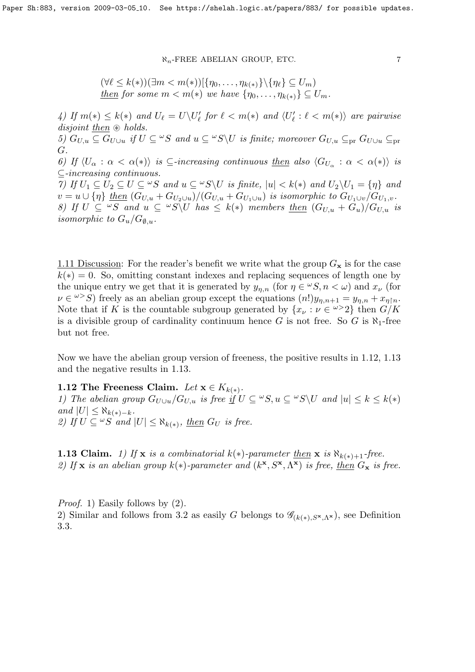$$
(\forall \ell \leq k(*))(\exists m < m(*))[\{\eta_0, \ldots, \eta_{k(*)}\} \setminus \{\eta_\ell\} \subseteq U_m)
$$
\nthen for some  $m < m(*)$  we have  $\{\eta_0, \ldots, \eta_{k(*)}\} \subseteq U_m$ .

4) If  $m(*) \leq k(*)$  and  $U_{\ell} = U\setminus U'_{\ell}$  for  $\ell < m(*)$  and  $\langle U'_{\ell} : \ell < m(*) \rangle$  are pairwise disjoint then  $\circledast$  holds. 5)  $G_{U,u} \subseteq G_{U\cup u}$  if  $U \subseteq {}^{\omega}S$  and  $u \subseteq {}^{\omega}S \backslash U$  is finite; moreover  $G_{U,u} \subseteq {}_{\text{pr}} G_{U\cup u} \subseteq {}_{\text{pr}} G$ G. 6) If  $\langle U_\alpha : \alpha < \alpha(*) \rangle$  is  $\subseteq$ -increasing continuous then also  $\langle G_{U_\alpha} : \alpha < \alpha(*) \rangle$  is ⊆-increasing continuous. 7) If  $U_1 \subseteq U_2 \subseteq U \subseteq \omega S$  and  $u \subseteq \omega S \setminus U$  is finite,  $|u| < k(*)$  and  $U_2 \setminus U_1 = \{\eta\}$  and  $v = u \cup {\eta}$  then  $(G_{U,u} + G_{U_2 \cup u})/(G_{U,u} + G_{U_1 \cup u})$  is isomorphic to  $G_{U_1 \cup v}/G_{U_1,v}$ . 8) If  $U \subseteq {}^{\omega}S$  and  $u \subseteq {}^{\omega}S \backslash U$  has  $\leq k(*)$  members then  $(G_{U,u} + G_u)/G_{U,u}$  is isomorphic to  $G_u/G_{\emptyset,u}$ .

1.11 Discussion: For the reader's benefit we write what the group  $G_{\mathbf{x}}$  is for the case  $k(*) = 0$ . So, omitting constant indexes and replacing sequences of length one by the unique entry we get that it is generated by  $y_{\eta,n}$  (for  $\eta \in {}^{\omega}S, n < \omega$ ) and  $x_{\nu}$  (for  $\nu \in \omega > S$ ) freely as an abelian group except the equations  $(n!)y_{\eta,n+1} = y_{\eta,n} + x_{\eta,n}$ . Note that if K is the countable subgroup generated by  $\{x_{\nu} : \nu \in \mathbb{R}^2\}$  then  $G/K$ is a divisible group of cardinality continuum hence G is not free. So G is  $\aleph_1$ -free but not free.

Now we have the abelian group version of freeness, the positive results in 1.12, 1.13 and the negative results in 1.13.

# 1.12 The Freeness Claim. Let  $\mathbf{x} \in K_{k(*)}$ .

1) The abelian group  $G_{U\cup u}/G_{U,u}$  is free if  $U \subseteq {}^{\omega}S, u \subseteq {}^{\omega}S \backslash U$  and  $|u| \leq k \leq k(*)$ and  $|U|$  ≤  $\aleph_{k(*)-k}$ . 2) If  $U \subseteq {}^{\omega}S$  and  $|U| \leq \aleph_{k(*)}$ , then  $G_U$  is free.

**1.13 Claim.** 1) If x is a combinatorial  $k(*)$ -parameter then x is  $\aleph_{k(*)+1}$ -free. 2) If **x** is an abelian group  $k(*)$ -parameter and  $(k^{\mathbf{x}}, S^{\mathbf{x}}, \Lambda^{\mathbf{x}})$  is free, then  $G_{\mathbf{x}}$  is free.

Proof. 1) Easily follows by (2). 2) Similar and follows from 3.2 as easily G belongs to  $\mathscr{G}_{(k(*),S^*,\Lambda^*)}$ , see Definition 3.3.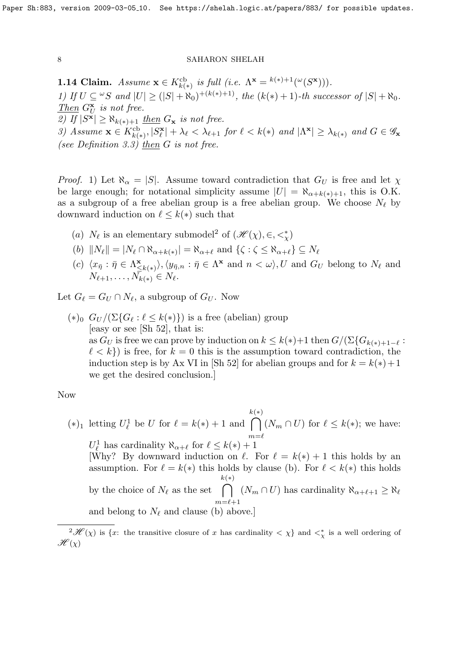**1.14 Claim.** Assume  $\mathbf{x} \in K^{\text{cb}}_{k(*)}$  is full (i.e.  $\Lambda^{\mathbf{x}} = {^{k(*)}}^{\perp_1}({}^{\omega}(S^{\mathbf{x}}))).$ 1) If  $U \subseteq {}^{\omega}S$  and  $|U| \geq (|S| + \aleph_0)^{+(k(*)+1)}$ , the  $(k(*) + 1)$ -th successor of  $|S| + \aleph_0$ . Then  $G_U^{\mathbf{x}}$  is not free. 2) If  $|S^{\mathbf{x}}| \geq \aleph_{k(*)+1}$  then  $G_{\mathbf{x}}$  is not free. 3) Assume  $\mathbf{x} \in K_{k(*)}^{\text{cb}}, |S_{\ell}^{\mathbf{x}}| + \lambda_{\ell} < \lambda_{\ell+1}$  for  $\ell < k(*)$  and  $|\Lambda^{\mathbf{x}}| \geq \lambda_{k(*)}$  and  $G \in \mathscr{G}_{\mathbf{x}}$ (see Definition 3.3) then  $G$  is not free.

*Proof.* 1) Let  $\aleph_{\alpha} = |S|$ . Assume toward contradiction that  $G_U$  is free and let  $\chi$ be large enough; for notational simplicity assume  $|U| = \aleph_{\alpha+k(*)+1}$ , this is O.K. as a subgroup of a free abelian group is a free abelian group. We choose  $N_{\ell}$  by downward induction on  $\ell \leq k(*)$  such that

- (a)  $N_{\ell}$  is an elementary submodel<sup>2</sup> of  $(\mathscr{H}(\chi), \in, \lt^*_{\chi})$
- $(k)$   $||N_{\ell}|| = |N_{\ell} \cap \aleph_{\alpha + k(*)}| = \aleph_{\alpha + \ell}$  and  $\{\zeta : \zeta \le \aleph_{\alpha + \ell}\} \subseteq N_{\ell}$
- (c)  $\langle x_{\bar{\eta}} : \bar{\eta} \in \Lambda^{\mathbf{x}}_{\leq}$  $\langle \mathbf{x}_{\leq k(*)}\rangle, \langle y_{\bar{\eta},n} : \bar{\eta} \in \Lambda^{\mathbf{x}} \text{ and } n < \omega \rangle, U \text{ and } G_U \text{ belong to } N_{\ell} \text{ and }$  $N_{\ell+1}, \ldots, N_{k(*)} \in N_{\ell}.$

Let  $G_\ell = G_U \cap N_\ell$ , a subgroup of  $G_U$ . Now

 $(*)_0$   $G_U / (\Sigma \{ G_\ell : \ell \leq k(*) \})$  is a free (abelian) group [easy or see [Sh 52], that is: as  $G_U$  is free we can prove by induction on  $k \leq k(*) + 1$  then  $G/(\Sigma \{G_{k(*)+1-\ell} :$  $\ell < k$ ) is free, for  $k = 0$  this is the assumption toward contradiction, the induction step is by Ax VI in [Sh 52] for abelian groups and for  $k = k(*) + 1$ we get the desired conclusion.]

# Now

 $(*)_1$  letting  $U^1_\ell$  be U for  $\ell = k(*) + 1$  and k  $\cap$ (∗)  $m=\ell$  $(N_m \cap U)$  for  $\ell \leq k(*)$ ; we have:  $U_{\ell}^1$  has cardinality  $\aleph_{\alpha+\ell}$  for  $\ell \leq k(*) + 1$ [Why? By downward induction on  $\ell$ . For  $\ell = k(*) + 1$  this holds by an assumption. For  $\ell = k(*)$  this holds by clause (b). For  $\ell < k(*)$  this holds by the choice of  $N_\ell$  as the set  $\bigcap (N_m \cap U)$  has cardinality  $\aleph_{\alpha+\ell+1} \geq \aleph_\ell$ k (∗)  $m=\ell+1$ and belong to  $N_\ell$  and clause (b) above.]

 $2\mathscr{H}(\chi)$  is {x: the transitive closure of x has cardinality  $\langle \chi \rangle$  and  $\langle \chi \rangle$  is a well ordering of  $\mathscr{H}(\chi)$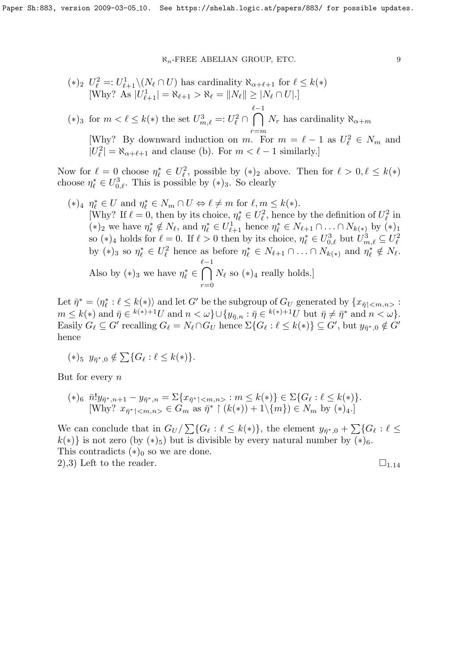\n- (\*)<sub>2</sub> 
$$
U_{\ell}^2 =: U_{\ell+1}^1 \setminus (N_{\ell} \cap U)
$$
 has cardinality  $\aleph_{\alpha+\ell+1}$  for  $\ell \leq k(*)$  [Why? As  $|U_{\ell+1}^1| = \aleph_{\ell+1} > \aleph_{\ell} = \|N_{\ell}\| \geq |N_{\ell} \cap U|$ .]
\n- (\*)<sub>3</sub> for  $m < \ell \leq k(*)$  the set  $U_{m,\ell}^3 =: U_{\ell}^2 \cap \bigcap_{r=m}^{\ell-1} N_r$  has cardinality  $\aleph_{\alpha+m}$  [Why? By downward induction on  $m$ . For  $m = \ell - 1$  as  $U_{\ell}^2 \in N_m$  and  $|U_{\ell}^2| = \aleph_{\alpha+\ell+1}$  and clause (b). For  $m < \ell-1$  similarly.]
\n

Now for  $\ell = 0$  choose  $\eta_{\ell}^* \in U_{\ell}^2$ , possible by  $(*)_2$  above. Then for  $\ell > 0, \ell \leq k(*)$ choose  $\eta_{\ell}^* \in U_{0,\ell}^3$ . This is possible by  $(*)_3$ . So clearly

\n- (\*)<sub>4</sub> 
$$
\eta_{\ell}^* \in U
$$
 and  $\eta_{\ell}^* \in N_m \cap U \Leftrightarrow \ell \neq m$  for  $\ell, m \leq k(*)$ .
\n- [Why? If  $\ell = 0$ , then by its choice,  $\eta_{\ell}^* \in U_{\ell}^2$ , hence by the definition of  $U_{\ell}^2$  in  $(*)_2$  we have  $\eta_{\ell}^* \notin N_{\ell}$ , and  $\eta_{\ell}^* \in U_{\ell+1}^1$  hence  $\eta_{\ell}^* \in N_{\ell+1} \cap \ldots \cap N_{k(*)}$  by  $(*)_1$  so  $(*)_4$  holds for  $\ell = 0$ . If  $\ell > 0$  then by its choice,  $\eta_{\ell}^* \in U_{0,\ell}^3$  but  $U_{m,\ell}^3 \subseteq U_{\ell}^2$  by  $(*)_3$  so  $\eta_{\ell}^* \in U_{\ell}^2$  hence as before  $\eta_{\ell}^* \in N_{\ell+1} \cap \ldots \cap N_{k(*)}$  and  $\eta_{\ell}^* \notin N_{\ell}$ .
\n- Also by  $(*)_3$  we have  $\eta_{\ell}^* \in \bigcap_{r=0}^{k-1} N_{\ell}$  so  $(*)_4$  really holds.
\n

Let  $\bar{\eta}^* = \langle \eta^*_{\ell} : \ell \leq k(*) \rangle$  and let G' be the subgroup of  $G_U$  generated by  $\{x_{\bar{\eta}}\}_{n,m}$ :  $m \leq k(*)$  and  $\bar{\eta} \in k^{(*)+1}U$  and  $n < \omega$ ,  $\cup \{y_{\bar{\eta},n} : \bar{\eta} \in k^{(*)+1}U$  but  $\bar{\eta} \neq \bar{\eta}^*$  and  $n < \omega$ . Easily  $G_{\ell} \subseteq G'$  recalling  $G_{\ell} = N_{\ell} \cap G_U$  hence  $\Sigma \{G_{\ell} : \ell \leq k(*)\} \subseteq G'$ , but  $y_{\bar{\eta}^*,0} \notin G'$ hence

$$
(*)_5 \ y_{\bar{\eta}^*,0} \notin \sum \{ G_\ell : \ell \leq k(*) \}.
$$

But for every  $n$ 

$$
(*)_6 \ \bar{n}! y_{\bar{\eta}^*, n+1} - y_{\bar{\eta}^*, n} = \Sigma \{ x_{\bar{\eta}^* \mid } : m \le k(*) \} \in \Sigma \{ G_\ell : \ell \le k(*) \}.
$$
  
[Why?  $x_{\bar{\eta}^* \mid } \in G_m$  as  $\bar{\eta}^* \upharpoonright (k(*))+1 \setminus \{ m \} ) \in N_m$  by  $(*)_4.$ ]

We can conclude that in  $G_U / \sum \{ G_\ell : \ell \leq k(*) \},$  the element  $y_{\bar{\eta}^*,0} + \sum \{ G_\ell : \ell \leq k \}$  $k(*)$  is not zero (by  $(*)_5$ ) but is divisible by every natural number by  $(*)_6$ . This contradicts  $(*)_0$  so we are done. 2),3) Left to the reader.  $\square_{1.14}$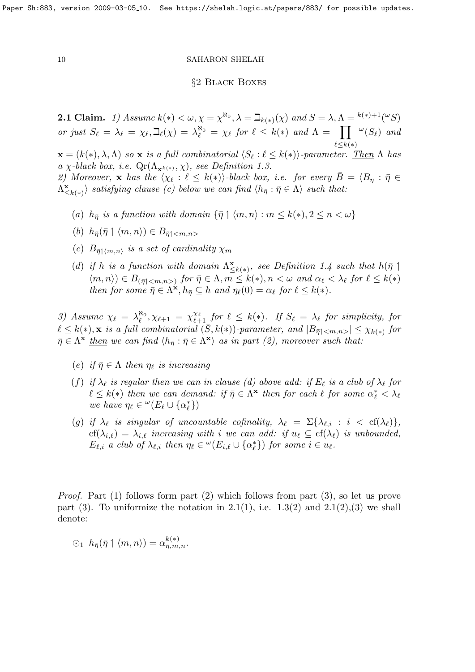# §2 Black Boxes

**2.1 Claim.** 1) Assume  $k(*) < \omega, \chi = \chi^{\aleph_0}, \lambda = \beth_{k(*)}(\chi)$  and  $S = \lambda, \Lambda = {k(*)+1}(\omega S)$ or just  $S_{\ell} = \lambda_{\ell} = \chi_{\ell}, \beth_{\ell}(\chi) = \lambda_{\ell}^{\aleph_0} = \chi_{\ell}$  for  $\ell \leq k(*)$  and  $\Lambda = \prod$  $\ell \leq k(*)$  $\omega(S_{\ell})$  and

 $\mathbf{x} = (k(*), \lambda, \Lambda)$  so  $\mathbf{x}$  is a full combinatorial  $\langle S_\ell : \ell \leq k(*) \rangle$ -parameter. Then  $\Lambda$  has a χ-black box, i.e.  $\mathbb{Q}r(\Lambda_{\mathbf{x}^{k(*)}}, \chi)$ , see Definition 1.3.

2) Moreover, **x** has the  $\langle \chi_{\ell} : \ell \leq k(*) \rangle$ -black box, i.e. for every  $B = \langle B_{\bar{\eta}} : \bar{\eta} \in \mathbb{R} \rangle$  $\Lambda_{\leq}^{\mathbf{x}}$  $\langle \mathbf{x}_{\leq k(*)}\rangle$  satisfying clause (c) below we can find  $\langle h_{\bar{\eta}} : \bar{\eta} \in \Lambda \rangle$  such that:

(a)  $h_{\bar{\eta}}$  is a function with domain  $\{\bar{\eta} \mid \langle m, n \rangle : m \leq k(*) , 2 \leq n < \omega \}$ 

(b) 
$$
h_{\bar{\eta}}(\bar{\eta} \upharpoonleft \langle m, n \rangle) \in B_{\bar{\eta} \upharpoonleft \langle m, n \rangle}
$$

- (c)  $B_{\bar{\eta}\upharpoonleft \langle m,n\rangle}$  is a set of cardinality  $\chi_m$
- (d) if h is a function with domain  $\Lambda^{\mathbf{x}}_{\leq}$  $\sum_{k=1}^{\infty}$ , see Definition 1.4 such that  $h(\bar{\eta})$  $\langle m, n \rangle \in B_{(\bar{\eta} \mid }$  for  $\bar{\eta} \in \Lambda, m \leq k(*)$ ,  $n < \omega$  and  $\alpha_{\ell} < \lambda_{\ell}$  for  $\ell \leq k(*)$ then for some  $\bar{\eta} \in \Lambda^{\dot{\mathbf{x}}}, h_{\bar{\eta}} \subseteq h$  and  $\eta_{\ell}(0) = \alpha_{\ell}$  for  $\ell \leq k(*)$ .

3) Assume  $\chi_{\ell} = \lambda_{\ell}^{\aleph_0}$  $\chi_{\ell}^{R_0}, \chi_{\ell+1} = \chi_{\ell+1}^{\chi_{\ell}}$  for  $\ell \leq k(*)$ . If  $S_{\ell} = \lambda_{\ell}$  for simplicity, for  $\ell \leq k(*)$ , x is a full combinatorial  $(S, k(*)$ )-parameter, and  $|B_{\bar{\eta}|}|\leq \chi_{k(*)}$  for  $\bar{\eta} \in \Lambda^{\mathbf{x}}$  then we can find  $\langle h_{\bar{\eta}} : \bar{\eta} \in \Lambda^{\mathbf{x}} \rangle$  as in part (2), moreover such that:

- (e) if  $\bar{\eta} \in \Lambda$  then  $\eta_{\ell}$  is increasing
- (f) if  $\lambda_{\ell}$  is regular then we can in clause (d) above add: if  $E_{\ell}$  is a club of  $\lambda_{\ell}$  for  $\ell \leq k(*)$  then we can demand: if  $\bar{\eta} \in \Lambda^*$  then for each  $\ell$  for some  $\alpha_{\ell}^* < \lambda_{\ell}$ we have  $\eta_{\ell} \in {}^{\omega}(E_{\ell} \cup {\alpha^*_{\ell}})$
- (g) if  $\lambda_{\ell}$  is singular of uncountable cofinality,  $\lambda_{\ell} = \Sigma\{\lambda_{\ell,i} : i < \text{cf}(\lambda_{\ell})\},\$  $cf(\lambda_{i,\ell}) = \lambda_{i,\ell}$  increasing with i we can add: if  $u_{\ell} \subseteq cf(\lambda_{\ell})$  is unbounded,  $E_{\ell,i}$  a club of  $\lambda_{\ell,i}$  then  $\eta_{\ell} \in {}^{\omega}(E_{i,\ell} \cup {\alpha^*_{\ell}})$  for some  $i \in u_{\ell}$ .

Proof. Part (1) follows form part (2) which follows from part (3), so let us prove part (3). To uniformize the notation in 2.1(1), i.e.  $1.3(2)$  and  $2.1(2),(3)$  we shall denote:

$$
\odot_1 \ h_{\bar{\eta}}(\bar{\eta} \upharpoonleft \langle m, n \rangle) = \alpha_{\bar{\eta},m,n}^{k(*)}.
$$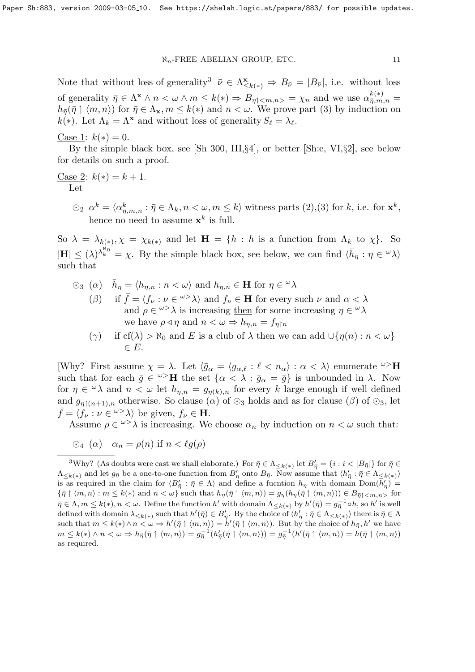Note that without loss of generality<sup>3</sup>  $\bar{\nu} \in \Lambda^{\mathbf{x}}_{\leq k(*)} \Rightarrow B_{\bar{\nu}} = |B_{\bar{\nu}}|$ , i.e. without loss of generality  $\bar{\eta} \in \Lambda^{\mathbf{x}} \wedge n < \omega \wedge m \leq k(*) \Rightarrow B_{\eta \uparrow \langle m,n \rangle} = \chi_n$  and we use  $\alpha_{\bar{\eta},m,n}^{k(*)} =$  $h_{\bar{n}}(\bar{\eta} \upharpoonright \langle m, n \rangle)$  for  $\bar{\eta} \in \Lambda_{\mathbf{x}}, m \leq k(*)$  and  $n < \omega$ . We prove part (3) by induction on  $k(*)$ . Let  $\Lambda_k = \Lambda^*$  and without loss of generality  $S_\ell = \lambda_\ell$ .

Case 1:  $k(*) = 0$ .

By the simple black box, see [Sh 300, III,§4], or better [Sh:e, VI,§2], see below for details on such a proof.

<u>Case 2</u>:  $k(*) = k + 1$ . Let

> $\Im$   $\Diamond$ <sub>2</sub>  $\alpha^k = \langle \alpha^k_{\bar{\eta},m,n} : \bar{\eta} \in \Lambda_k, n < \omega, m \leq k \rangle$  witness parts (2), (3) for k, i.e. for  $\mathbf{x}^k$ , hence no need to assume  $\mathbf{x}^k$  is full.

So  $\lambda = \lambda_{k(*)}, \chi = \chi_{k(*)}$  and let  $\mathbf{H} = \{h : h \text{ is a function from } \Lambda_k \text{ to } \chi\}.$  So  $|\mathbf{H}| \leq (\lambda)^{\lambda_k^{\aleph_0}} = \chi$ . By the simple black box, see below, we can find  $\langle \bar{h}_\eta : \eta \in \mathcal{A} \rangle$ such that

- $\circlearrowright_3$  (a)  $\bar{h}_{\eta} = \langle h_{\eta,n} : n \langle \omega \rangle$  and  $h_{\eta,n} \in \mathbf{H}$  for  $\eta \in \omega \lambda$ ( $\beta$ ) if  $\bar{f} = \langle f_{\nu} : \nu \in \{{\omega} > \lambda} \rangle$  and  $f_{\nu} \in \mathbf{H}$  for every such  $\nu$  and  $\alpha < \lambda$ and  $\rho \in \omega^{\geq} \lambda$  is increasing then for some increasing  $\eta \in \omega \lambda$ we have  $\rho \triangleleft \eta$  and  $n < \omega \Rightarrow h_{\eta,n} = f_{\eta \upharpoonright n}$ 
	- (γ) if cf( $\lambda$ ) >  $\aleph_0$  and E is a club of  $\lambda$  then we can add  $\bigcup \{ \eta(n) : n < \omega \}$  $\in E$ .

[Why? First assume  $\chi = \lambda$ . Let  $\langle \bar{g}_{\alpha} = \langle g_{\alpha,\ell} : \ell < n_{\alpha} \rangle : \alpha < \lambda$  enumerate  $\omega > H$ such that for each  $\bar{g} \in \omega > H$  the set  $\{\alpha < \lambda : \bar{g}_{\alpha} = \bar{g}\}$  is unbounded in  $\lambda$ . Now for  $\eta \in \mathcal{A}$  and  $n < \omega$  let  $h_{\eta,n} = g_{\eta(k),n}$  for every k large enough if well defined and  $g_{n\upharpoonright (n+1),n}$  otherwise. So clause ( $\alpha$ ) of  $\odot_3$  holds and as for clause ( $\beta$ ) of  $\odot_3$ , let  $\bar{f} = \langle f_{\nu} : \nu \in \omega > \lambda \rangle$  be given,  $f_{\nu} \in \mathbf{H}$ .

Assume  $\rho \in \omega > \lambda$  is increasing. We choose  $\alpha_n$  by induction on  $n < \omega$  such that:

 $\odot_4 (\alpha) \quad \alpha_n = \rho(n)$  if  $n < \ell q(\rho)$ 

<sup>&</sup>lt;sup>3</sup>Why? (As doubts were cast we shall elaborate.) For  $\bar{\eta} \in \Lambda_{\leq k(*)}$  let  $B'_{\bar{\eta}} = \{i : i < |B_{\bar{\eta}}|\}$  for  $\bar{\eta} \in$  $\Lambda_{\leq k(*)}$  and let  $g_{\bar{\eta}}$  be a one-to-one function from  $B'_{\eta}$  onto  $B_{\bar{\eta}}$ . Now assume that  $\langle h'_{\bar{\eta}} : \bar{\eta} \in \Lambda_{\leq k(*)}\rangle$ is as required in the claim for  $\langle B'_{\overline{\eta}} : \overline{\eta} \in \Lambda \rangle$  and define a fucntion  $h_{\eta}$  with domain  $Dom(\overline{h'_{\eta}}) =$  $\{\bar{\eta} \restriction \langle m, n \rangle : m \leq k(*) \text{ and } n < \omega\}$  such that  $h_{\bar{\eta}}(\bar{\eta} \restriction \langle m, n \rangle) = g_{\eta}(h_{\eta}(\bar{\eta} \restriction \langle m, n \rangle)) \in B_{\bar{\eta} \restriction \langle m, n \rangle}$  for  $\bar{\eta} \in \Lambda, m \leq k(*)$ ,  $n < \omega$ . Define the function  $h'$  with domain  $\Lambda_{\leq k(*)}$  by  $h'(\bar{\eta}) = g_{\bar{\eta}}^{-1} \circ h$ , so  $h'$  is well defined with domain  $\lambda_{\leq k(*)}$  such that  $h'(\bar{\eta}) \in B'_{\bar{\eta}}$ . By the choice of  $\langle h'_{\bar{\eta}} : \bar{\eta} \in \Lambda_{\leq k(*)} \rangle$  there is  $\bar{\eta} \in \Lambda$ such that  $m \leq k(*) \wedge n < \omega \Rightarrow h'(\bar{\eta} \mid \langle m, n \rangle) = h'(\bar{\eta} \mid \langle m, n \rangle)$ . But by the choice of  $h_{\bar{\eta}}, h'$  we have  $m\leq k(*)\land n<\omega\Rightarrow h_{\bar{\eta}}(\bar{\eta}\restriction\langle m,n\rangle)=g_{\bar{\eta}}^{-1}(h'_{\bar{\eta}}(\bar{\eta}\restriction\langle m,n\rangle))=g_{\bar{\eta}}^{-1}(h'(\bar{\eta}\restriction\langle m,n\rangle)=h(\bar{\eta}\restriction\langle m,n\rangle))$ as required.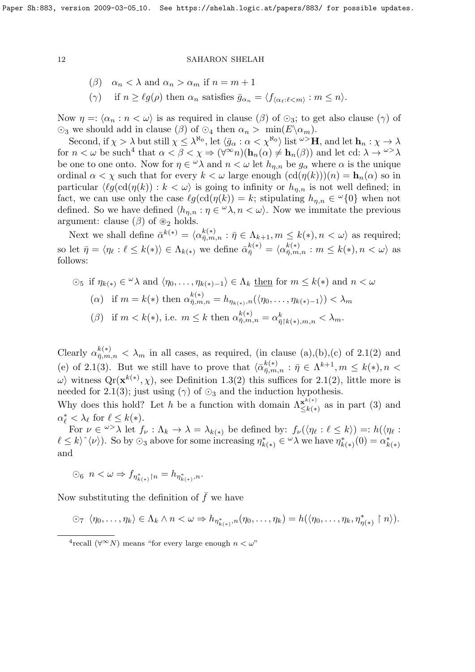\n- $$
(\beta)
$$
  $\alpha_n < \lambda$  and  $\alpha_n > \alpha_m$  if  $n = m + 1$
\n- $(\gamma)$  if  $n \geq \ell g(\rho)$  then  $\alpha_n$  satisfies  $\bar{g}_{\alpha_n} = \langle f_{\langle \alpha_\ell : \ell < m \rangle} : m \leq n \rangle$ .
\n

Now  $\eta =: \langle \alpha_n : n < \omega \rangle$  is as required in clause ( $\beta$ ) of  $\odot_3$ ; to get also clause ( $\gamma$ ) of  $\odot$ <sub>3</sub> we should add in clause ( $\beta$ ) of  $\odot$ <sub>4</sub> then  $\alpha$ <sub>n</sub> > min( $E \setminus \alpha$ <sub>m</sub>).

Second, if  $\chi > \lambda$  but still  $\chi \leq \lambda^{\aleph_0}$ , let  $\langle \bar{g}_\alpha : \alpha < \chi^{\aleph_0} \rangle$  list  $\omega > H$ , and let  $\mathbf{h}_n : \chi \to \lambda$ for  $n < \omega$  be such<sup>4</sup> that  $\alpha < \beta < \chi \Rightarrow (\forall^{\infty} n)(\mathbf{h}_n(\alpha) \neq \mathbf{h}_n(\beta))$  and let cd:  $\lambda \to^{\omega} \lambda$ be one to one onto. Now for  $\eta \in \mathcal{A}$  and  $n < \omega$  let  $h_{\eta,n}$  be  $g_{\alpha}$  where  $\alpha$  is the unique ordinal  $\alpha < \chi$  such that for every  $k < \omega$  large enough  $(cd(\eta(k)))(n) = h_n(\alpha)$  so in particular  $\langle \ell g(\text{cd}(\eta(k)) : k < \omega \rangle$  is going to infinity or  $h_{n,n}$  is not well defined; in fact, we can use only the case  $\ell g(\text{cd}(\eta(k)) = k$ ; stipulating  $h_{\eta,n} \in {}^{\omega} \{0\}$  when not defined. So we have defined  $\langle h_{\eta,n} : \eta \in \mathcal{A}, n < \omega \rangle$ . Now we immitate the previous argument: clause  $(\beta)$  of  $\mathcal{L}_2$  holds.

Next we shall define  $\bar{\alpha}^{k(*)} = \langle \alpha_{\bar{n},m}^{k(*)} \rangle$  $\overline{\eta}_{m,n}^{\kappa(*)}: \overline{\eta} \in \Lambda_{k+1}, m \leq k(*)$ ,  $n < \omega$  as required; so let  $\bar{\eta} = \langle \eta_\ell : \ell \leq k(*) \rangle \in \Lambda_{k(*)}$  we define  $\bar{\alpha}_{\bar{\eta}}^{k(*)} = \langle \alpha_{\bar{\eta},m}^{k(*)} \rangle$  $\binom{k(*)}{\bar{\eta},m,n}$ :  $m \leq k(*)$ ,  $n < \omega$  as follows:

\n- $$
\odot_5
$$
 if  $\eta_{k(*)} \in \omega \lambda$  and  $\langle \eta_0, \ldots, \eta_{k(*)-1} \rangle \in \Lambda_k$  then for  $m \leq k(*)$  and  $n < \omega$
\n- ( $\alpha$ ) if  $m = k(*)$  then  $\alpha_{\bar{\eta},m,n}^{k(*)} = h_{\eta_{k(*)},n}(\langle \eta_0, \ldots, \eta_{k(*)-1} \rangle) < \lambda_m$
\n- ( $\beta$ ) if  $m < k(*)$ , i.e.  $m \leq k$  then  $\alpha_{\bar{\eta},m,n}^{k(*)} = \alpha_{\bar{\eta} \restriction k(*),m,n}^k < \lambda_m$ .
\n

Clearly  $\alpha_{\bar{\eta},m,n}^{k(*)}<\lambda_m$  in all cases, as required, (in clause (a),(b),(c) of 2.1(2) and (e) of 2.1(3). But we still have to prove that  $\langle \bar{\alpha}_{\bar{n},m}^{k(*)} \rangle$  $\bar{g}_{\bar{m},m,n}^{(k+1)}: \bar{\eta} \in \Lambda^{k+1}, m \leq k(*), n < 1$  $\omega$  witness  $\mathbb{Q}_r(\mathbf{x}^{k(*)}, \chi)$ , see Definition 1.3(2) this suffices for 2.1(2), little more is needed for 2.1(3); just using ( $\gamma$ ) of  $\odot$ <sub>3</sub> and the induction hypothesis.

Why does this hold? Let h be a function with domain  $\Lambda_{\leq k}^{\mathbf{x}^{(*)}}$  $\sum_{k=1}^{\mathbf{x}^{n(x)}}$  as in part (3) and  $\alpha_{\ell}^* < \lambda_{\ell}$  for  $\ell \leq k(*)$ .

For  $\nu \in \omega^{\geq} \lambda$  let  $f_{\nu} : \Lambda_k \to \lambda = \lambda_{k(*)}$  be defined by:  $f_{\nu}(\langle \eta_{\ell} : \ell \leq k \rangle) =: h(\langle \eta_{\ell} : \ell \leq k \rangle)$  $\ell \leq k \rangle^{\hat{ }} \langle \nu \rangle$ . So by  $\odot_3$  above for some increasing  $\eta_k^*$  $\chi^*_{k(*)} \in {}^{\omega} \lambda$  we have  $\eta^*_k$  $\alpha_{k}^{*}(0) = \alpha_{k}^{*}$  $k(*)$ and

 $\odot$ <sub>6</sub>  $n < \omega \Rightarrow f_{\eta^*_{k(*)}\upharpoonright n} = h_{\eta^*_{k(*)},n}.$ 

Now substituting the definition of  $\bar{f}$  we have

 $\Diamond \negthinspace \gamma \; \langle \eta_0, \ldots, \eta_k \rangle \in \Lambda_k \wedge n \langle \omega \Rightarrow h_{\eta^*_{k(*)},n}(\eta_0, \ldots, \eta_k) = h(\langle \eta_0, \ldots, \eta_k, \eta^*_{\eta(*)} \restriction n \rangle).$ 

<sup>&</sup>lt;sup>4</sup>recall (∀<sup>∞</sup>N) means "for every large enough  $n < \omega$ "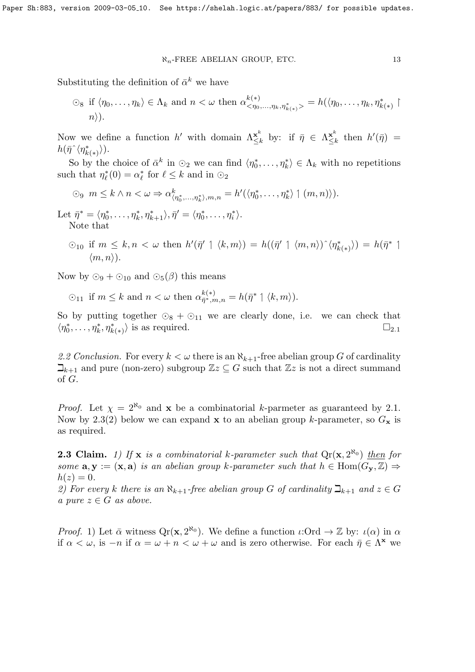Substituting the definition of  $\bar{\alpha}^k$  we have

$$
\bigcirc_{8} \text{ if } \langle \eta_{0}, \ldots, \eta_{k} \rangle \in \Lambda_{k} \text{ and } n < \omega \text{ then } \alpha^{k(*)}_{\langle \eta_{0}, \ldots, \eta_{k}, \eta_{k(*)}^{*} \rangle} = h(\langle \eta_{0}, \ldots, \eta_{k}, \eta_{k(*)}^{*} \mid n \rangle).
$$

Now we define a function h' with domain  $\Lambda_{\leq l}^{\mathbf{x}^k}$  $\sum_{j=k}^{x^k}$  by: if  $\bar{\eta} \in \Lambda_{\leq j}^{x^k}$  $\sum_{k=1}^{\mathbf{x}^k}$  then  $h'(\bar{\eta}) =$  $h(\bar{\eta}^{\,\hat{}}\langle\eta_k^*$  $_{k(\ast)}^{\ast}\rangle).$ 

So by the choice of  $\bar{\alpha}^k$  in  $\odot_2$  we can find  $\langle \eta_0^*, \ldots, \eta_k^* \rangle \in \Lambda_k$  with no repetitions such that  $\eta_{\ell}^*(0) = \alpha_{\ell}^*$  for  $\ell \leq k$  and in  $\odot_2$ 

$$
\bigcirc_9 \ m \leq k \land n < \omega \Rightarrow \alpha^k_{\langle \eta^*_0, \ldots, \eta^*_k \rangle, m, n} = h'(\langle \eta^*_0, \ldots, \eta^*_k \rangle \mid (m, n) \rangle).
$$

Let  $\bar{\eta}^* = \langle \eta_0^*, \ldots, \eta_k^*, \eta_{k+1}^* \rangle, \bar{\eta}' = \langle \eta_0^*, \ldots, \eta_i^* \rangle.$ Note that

 $\bigcirc_{10}$  if  $m \leq k, n < \omega$  then  $h'(\bar{\eta}' \upharpoonleft \langle k, m \rangle) = h((\bar{\eta}' \upharpoonright \langle m, n \rangle) \upharpoonright \langle n_k^* \rangle)$  $h_{k(*)}^{\ast}$ ) =  $h(\bar{\eta}^* \upharpoonright$  $\langle m, n \rangle$ ).

Now by  $\odot$ <sub>9</sub> +  $\odot$ <sub>10</sub> and  $\odot$ <sub>5</sub>( $\beta$ ) this means

$$
\odot_{11} \text{ if } m \leq k \text{ and } n < \omega \text{ then } \alpha_{\bar{\eta}^*, m, n}^{k(*)} = h(\bar{\eta}^* \upharpoonright \langle k, m \rangle).
$$

So by putting together  $\odot_8 + \odot_{11}$  we are clearly done, i.e. we can check that  $\langle \eta_0^*, \ldots, \eta_k^*, \eta_{k(*)}^* \rangle$  is as required.  $\square_{2.1}$ 

2.2 Conclusion. For every  $k < \omega$  there is an  $\aleph_{k+1}$ -free abelian group G of cardinality  $\mathbb{Z}_{k+1}$  and pure (non-zero) subgroup  $\mathbb{Z}z \subseteq G$  such that  $\mathbb{Z}z$  is not a direct summand of G.

*Proof.* Let  $\chi = 2^{\aleph_0}$  and **x** be a combinatorial k-parmeter as guaranteed by 2.1. Now by 2.3(2) below we can expand x to an abelian group k-parameter, so  $G_x$  is as required.

**2.3 Claim.** 1) If **x** is a combinatorial k-parameter such that  $Q_{\rm r}(\mathbf{x}, 2^{\aleph_0})$  then for some  $\mathbf{a}, \mathbf{y} := (\mathbf{x}, \mathbf{a})$  is an abelian group k-parameter such that  $h \in \text{Hom}(G_{\mathbf{v}}, \mathbb{Z}) \Rightarrow$  $h(z)=0.$ 

2) For every k there is an  $\aleph_{k+1}$ -free abelian group G of cardinality  $\beth_{k+1}$  and  $z \in G$ a pure  $z \in G$  as above.

*Proof.* 1) Let  $\bar{\alpha}$  witness  $Q_{\rm r}(\mathbf{x}, 2^{\aleph_0})$ . We define a function  $\iota: \mathrm{Ord} \to \mathbb{Z}$  by:  $\iota(\alpha)$  in  $\alpha$ if  $\alpha < \omega$ , is  $-n$  if  $\alpha = \omega + n < \omega + \omega$  and is zero otherwise. For each  $\bar{\eta} \in \Lambda^{\mathbf{x}}$  we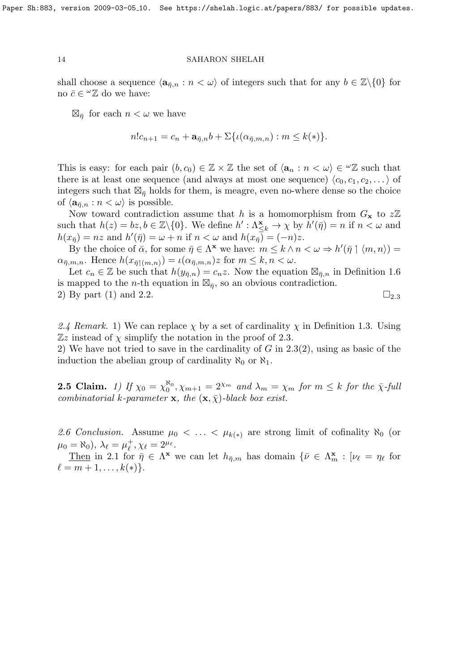shall choose a sequence  $\langle \mathbf{a}_{\bar{n},n} : n \langle \omega \rangle$  of integers such that for any  $b \in \mathbb{Z}\backslash \{0\}$  for no  $\bar{c} \in {}^{\omega} \mathbb{Z}$  do we have:

 $\boxtimes_{\bar{\eta}}$  for each  $n < \omega$  we have

$$
n!c_{n+1}=c_n+\mathbf{a}_{\overline{\eta},n}b+\Sigma\{\iota(\alpha_{\overline{\eta},m,n}):m\leq k(*)\}.
$$

This is easy: for each pair  $(b, c_0) \in \mathbb{Z} \times \mathbb{Z}$  the set of  $\langle \mathbf{a}_n : n < \omega \rangle \in \mathbb{Z} \times \mathbb{Z}$  such that there is at least one sequence (and always at most one sequence)  $\langle c_0, c_1, c_2, \dots \rangle$  of integers such that  $\mathbb{Z}_{\bar{\eta}}$  holds for them, is meagre, even no-where dense so the choice of  $\langle \mathbf{a}_{\overline{n},n} : n < \omega \rangle$  is possible.

Now toward contradiction assume that h is a homomorphism from  $G_x$  to  $z\mathbb{Z}$ such that  $h(z) = bz, b \in \mathbb{Z}\setminus\{0\}$ . We define  $h': \Lambda_{\leq k}^{\mathbf{x}} \to \chi$  by  $h'(\bar{\eta}) = n$  if  $n < \omega$  and  $h(x_{\overline{\eta}}) = nz$  and  $h'(\overline{\eta}) = \omega + n$  if  $n < \omega$  and  $h(x_{\overline{\eta}}) = (-n)z$ .

By the choice of  $\bar{\alpha}$ , for some  $\bar{\eta} \in \Lambda^{\mathbf{x}}$  we have:  $m \leq k \wedge n < \omega \Rightarrow h'(\bar{\eta} \upharpoonright \langle m, n \rangle) =$  $\alpha_{\bar{\eta},m,n}$ . Hence  $h(x_{\bar{\eta}+(m,n)}) = \iota(\alpha_{\bar{\eta},m,n})z$  for  $m \leq k,n < \omega$ .

Let  $c_n \in \mathbb{Z}$  be such that  $h(y_{\bar{\eta},n}) = c_n z$ . Now the equation  $\mathbb{Z}_{\bar{\eta},n}$  in Definition 1.6 is mapped to the *n*-th equation in  $\mathbb{Z}_{\bar{\eta}}$ , so an obvious contradiction. 2) By part (1) and 2.2.  $\Box$  2.3

2.4 Remark. 1) We can replace  $\chi$  by a set of cardinality  $\chi$  in Definition 1.3. Using  $\mathbb{Z}z$  instead of  $\chi$  simplify the notation in the proof of 2.3.

2) We have not tried to save in the cardinality of  $G$  in 2.3(2), using as basic of the induction the abelian group of cardinality  $\aleph_0$  or  $\aleph_1$ .

**2.5 Claim.** 1) If  $\chi_0 = \chi_0^{\aleph_0}, \chi_{m+1} = 2^{\chi_m}$  and  $\lambda_m = \chi_m$  for  $m \leq k$  for the  $\bar{\chi}$ -full combinatorial k-parameter x, the  $(x, \bar{y})$ -black box exist.

2.6 Conclusion. Assume  $\mu_0 < \ldots < \mu_{k(*)}$  are strong limit of cofinality  $\aleph_0$  (or  $\mu_0 = \aleph_0$ ),  $\lambda_\ell = \mu_\ell^+$  $_{\ell}^{+}, \chi_{\ell} = 2^{\mu_{\ell}}.$ 

Then in 2.1 for  $\bar{\eta} \in \Lambda^{\mathbf{x}}$  we can let  $h_{\bar{\eta},m}$  has domain  $\{\bar{\nu} \in \Lambda_m^{\mathbf{x}} : [\nu_\ell = \eta_\ell \text{ for }$  $\ell = m + 1, \ldots, k(*)\}.$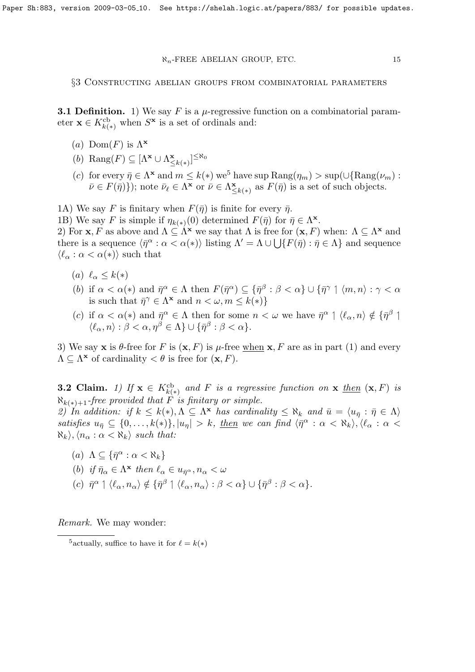§3 Constructing abelian groups from combinatorial parameters

**3.1 Definition.** 1) We say F is a  $\mu$ -regressive function on a combinatorial parameter  $\mathbf{x} \in K_{k(*)}^{\text{cb}}$  when  $S^{\mathbf{x}}$  is a set of ordinals and:

- (a)  $Dom(F)$  is  $\Lambda^{\mathbf{x}}$
- (b) Rang $(F) \subseteq [\Lambda^{\mathbf{x}} \cup \Lambda^{\mathbf{x}}]$  $\sum_{k\leq k(*)}^{\mathbf{x}}\big]^{\leq\aleph_0}$
- (c) for every  $\bar{\eta} \in \Lambda^{\mathbf{x}}$  and  $m \leq k(*)$  we<sup>5</sup> have sup  $\text{Rang}(\eta_m) > \text{sup}(\cup \{\text{Rang}(\nu_m) :$  $\bar{\nu} \in F(\bar{\eta})\}$ ); note  $\bar{\nu}_{\ell} \in \Lambda^{\mathbf{x}}$  or  $\bar{\nu} \in \Lambda_{\leq}^{\mathbf{x}}$  $\sum_{k=1}^{\infty} k(x_k)$  as  $F(\bar{\eta})$  is a set of such objects.

1A) We say F is finitary when  $F(\bar{\eta})$  is finite for every  $\bar{\eta}$ .

1B) We say F is simple if  $\eta_{k(*)}(0)$  determined  $F(\bar{\eta})$  for  $\bar{\eta} \in \Lambda^{\mathbf{x}}$ .

2) For **x**, F as above and  $\Lambda \subseteq \Lambda^{\mathbf{x}}$  we say that  $\Lambda$  is free for  $(\mathbf{x}, F)$  when:  $\Lambda \subseteq \Lambda^{\mathbf{x}}$  and there is a sequence  $\langle \bar{\eta}^{\alpha} : \alpha < \alpha(*) \rangle$  listing  $\Lambda' = \Lambda \cup \bigcup \{ F(\bar{\eta}) : \bar{\eta} \in \Lambda \}$  and sequence  $\langle \ell_\alpha : \alpha < \alpha(*) \rangle$  such that

- (a)  $\ell_{\alpha} \leq k(*)$
- (b) if  $\alpha < \alpha(*)$  and  $\bar{\eta}^{\alpha} \in \Lambda$  then  $F(\bar{\eta}^{\alpha}) \subseteq {\{\bar{\eta}^{\beta} : \beta < \alpha\}} \cup {\{\bar{\eta}^{\gamma} \mid \langle m, n \rangle : \gamma < \alpha\}}$ is such that  $\bar{\eta}^{\gamma} \in \Lambda^{\mathbf{x}}$  and  $n < \omega, m \leq k(*)\}$
- (c) if  $\alpha < \alpha(*)$  and  $\bar{\eta}^{\alpha} \in \Lambda$  then for some  $n < \omega$  we have  $\bar{\eta}^{\alpha} \upharpoonright \langle \ell_{\alpha}, n \rangle \notin {\{\bar{\eta}^{\beta} \mid \mathcal{N} \in \Lambda\}}$  $\langle \ell_{\alpha}, n \rangle : \beta < \alpha, \eta^{\beta} \in \Lambda \} \cup \{ \bar{\eta}^{\beta} : \beta < \alpha \}.$

3) We say **x** is  $\theta$ -free for F is  $(\mathbf{x}, F)$  is  $\mu$ -free when **x**, F are as in part (1) and every  $\Lambda \subseteq \Lambda^{\mathbf{x}}$  of cardinality  $\lt \theta$  is free for  $(\mathbf{x}, F)$ .

**3.2 Claim.** 1) If  $\mathbf{x} \in K^{\text{cb}}_{k(*)}$  and F is a regressive function on  $\mathbf{x}$  then  $(\mathbf{x}, F)$  is  $\aleph_{k(*)+1}$ -free provided that F is finitary or simple.

2) In addition: if  $k \leq k(*)$ ,  $\Lambda \subseteq \Lambda^*$  has cardinality  $\leq \aleph_k$  and  $\bar{u} = \langle u_{\bar{\eta}} : \bar{\eta} \in \Lambda \rangle$ satisfies  $u_{\overline{\eta}} \subseteq \{0, \ldots, k(*)\}, |u_{\eta}| > k$ , then we can find  $\langle \overline{\eta}^{\alpha} : \alpha < \aleph_k \rangle, \langle \ell_{\alpha} : \alpha <$  $\aleph_k$ ,  $\langle n_\alpha : \alpha < \aleph_k \rangle$  such that:

- (a)  $\Lambda \subseteq {\{\bar{\eta}^\alpha : \alpha < \aleph_k\}}$
- (b) if  $\bar{\eta}_{\alpha} \in \Lambda^{\mathbf{x}}$  then  $\ell_{\alpha} \in u_{\bar{\eta}^{\alpha}}, n_{\alpha} < \omega$
- (c)  $\bar{\eta}^{\alpha} \upharpoonleft \langle \ell_{\alpha}, n_{\alpha} \rangle \notin {\{\bar{\eta}^{\beta} \mid \langle \ell_{\alpha}, n_{\alpha} \rangle : \beta < \alpha \} \cup {\{\bar{\eta}^{\beta} \colon \beta < \alpha \}}.$

Remark. We may wonder:

<sup>&</sup>lt;sup>5</sup> actually, suffice to have it for  $\ell = k(*)$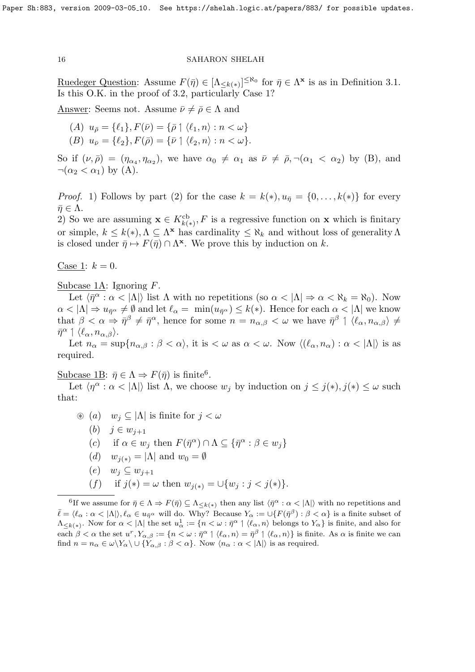Ruedeger Question: Assume  $F(\bar{\eta}) \in [\Lambda_{\leq k(*)}]^{\leq \aleph_0}$  for  $\bar{\eta} \in \Lambda^{\mathbf{x}}$  is as in Definition 3.1. Is this O.K. in the proof of 3.2, particularly Case 1?

Answer: Seems not. Assume  $\bar{\nu} \neq \bar{\rho} \in \Lambda$  and

- (A)  $u_{\bar{p}} = {\ell_1}, F(\bar{\nu}) = {\bar{p} \mid \langle \ell_1, n \rangle : n < \omega}$
- (B)  $u_{\bar{\nu}} = {\ell_2}, F(\bar{\rho}) = {\bar{\nu}} \uparrow {\ell_2}, n : n < \omega$ .

So if  $(\nu, \bar{\rho}) = (\eta_{\alpha_4}, \eta_{\alpha_2})$ , we have  $\alpha_0 \neq \alpha_1$  as  $\bar{\nu} \neq \bar{\rho}, \neg(\alpha_1 < \alpha_2)$  by (B), and  $\neg(\alpha_2 < \alpha_1)$  by (A).

*Proof.* 1) Follows by part (2) for the case  $k = k(*)$ ,  $u_{\overline{n}} = \{0, \ldots, k(*)\}$  for every  $\bar{\eta} \in \Lambda$ .

2) So we are assuming  $\mathbf{x} \in K^{\text{cb}}_{k(*)}, F$  is a regressive function on  $\mathbf{x}$  which is finitary or simple,  $k \leq k(*)$ ,  $\Lambda \subseteq \Lambda^*$  has cardinality  $\leq \aleph_k$  and without loss of generality  $\Lambda$ is closed under  $\bar{\eta} \mapsto F(\bar{\eta}) \cap \Lambda^{\mathbf{x}}$ . We prove this by induction on k.

Case 1:  $k = 0$ .

Subcase 1A: Ignoring F.

Let  $\langle \bar{\eta}^{\alpha} : \alpha < |\Lambda| \rangle$  list  $\Lambda$  with no repetitions (so  $\alpha < |\Lambda| \Rightarrow \alpha < \aleph_k = \aleph_0$ ). Now  $\alpha < |\Lambda| \Rightarrow u_{\bar{\eta}^{\alpha}} \neq \emptyset$  and let  $\ell_{\alpha} = \min(u_{\bar{\eta}^{\alpha}}) \leq k(*)$ . Hence for each  $\alpha < |\Lambda|$  we know that  $\beta < \alpha \Rightarrow \bar{\eta}^{\beta} \neq \bar{\eta}^{\alpha}$ , hence for some  $n = n_{\alpha,\beta} < \omega$  we have  $\bar{\eta}^{\beta} \upharpoonright \langle \ell_{\alpha}, n_{\alpha,\beta} \rangle \neq$  $\bar{\eta}^{\alpha} \mid \langle \ell_{\alpha}, n_{\alpha, \beta} \rangle.$ 

Let  $n_{\alpha} = \sup\{n_{\alpha,\beta} : \beta < \alpha\}$ , it is  $\langle \omega \rangle$  as  $\alpha \langle \omega$ . Now  $\langle (\ell_{\alpha}, n_{\alpha}) : \alpha < |\Lambda| \rangle$  is as required.

Subcase 1B:  $\bar{\eta} \in \Lambda \Rightarrow F(\bar{\eta})$  is finite<sup>6</sup>.

Let  $\langle \eta^{\alpha} : \alpha < |\Lambda| \rangle$  list  $\Lambda$ , we choose  $w_j$  by induction on  $j \leq j(*)$ ,  $j(*) \leq \omega$  such that:

 $\circledast$  (a)  $w_j \subset |\Lambda|$  is finite for  $j < \omega$ (b)  $j \in w_{j+1}$ (c) if  $\alpha \in w_j$  then  $F(\bar{\eta}^{\alpha}) \cap \Lambda \subseteq {\{\bar{\eta}^{\alpha} : \beta \in w_j\}}$ (d)  $w_{i(*)} = |\Lambda|$  and  $w_0 = \emptyset$  $(e)$   $w_i \subset w_{i+1}$ (f) if  $j(*) = \omega$  then  $w_{j(*)} = \bigcup \{w_j : j < j(*)\}.$ 

<sup>6</sup>If we assume for  $\bar{\eta} \in \Lambda \Rightarrow F(\bar{\eta}) \subseteq \Lambda_{\leq k(*)}$  then any list  $\langle \bar{\eta}^{\alpha} : \alpha < |\Lambda| \rangle$  with no repetitions and  $\bar{\ell} = \langle \ell_{\alpha} : \alpha < |\Lambda| \rangle, \ell_{\alpha} \in u_{\bar{\eta}^{\alpha}}$  will do. Why? Because  $Y_{\alpha} := \cup \{ F(\bar{\eta}^{\beta}) : \beta < \alpha \}$  is a finite subset of  $\Lambda_{\leq k(*)}$ . Now for  $\alpha < |\Lambda|$  the set  $u^1_\alpha := \{n < \omega : \overline{\eta}^\alpha \mid \langle \ell_\alpha, n \rangle \}$  belongs to  $Y_\alpha\}$  is finite, and also for each  $\beta < \alpha$  the set  $u^r, Y_{\alpha,\beta} := \{n < \omega : \overline{\eta}^{\alpha} \mid \langle \ell_{\alpha}, n \rangle = \overline{\eta}^{\beta} \mid \langle \ell_{\alpha}, n \rangle\}$  is finite. As  $\alpha$  is finite we can find  $n = n_{\alpha} \in \omega \backslash Y_{\alpha} \backslash \cup \{Y_{\alpha}, \beta : \beta < \alpha\}.$  Now  $\langle n_{\alpha} : \alpha < |\Lambda| \rangle$  is as required.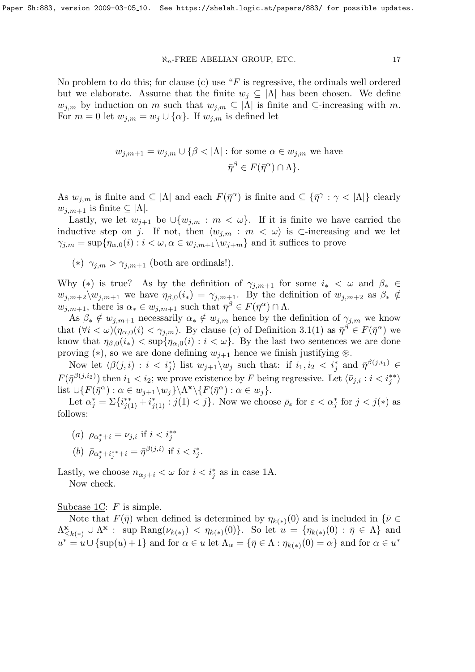No problem to do this; for clause (c) use " $F$  is regressive, the ordinals well ordered but we elaborate. Assume that the finite  $w_j \subseteq |\Lambda|$  has been chosen. We define  $w_{j,m}$  by induction on m such that  $w_{j,m} \subseteq |\Lambda|$  is finite and  $\subseteq$ -increasing with m. For  $m = 0$  let  $w_{j,m} = w_j \cup {\alpha}$ . If  $w_{j,m}$  is defined let

$$
w_{j,m+1} = w_{j,m} \cup \{\beta < |\Lambda| : \text{for some } \alpha \in w_{j,m} \text{ we have}
$$
  

$$
\bar{\eta}^{\beta} \in F(\bar{\eta}^{\alpha}) \cap \Lambda\}.
$$

As  $w_{j,m}$  is finite and  $\subseteq |\Lambda|$  and each  $F(\bar{\eta}^{\alpha})$  is finite and  $\subseteq {\{\bar{\eta}^{\gamma} : \gamma < |\Lambda|\}}$  clearly  $w_{i,m+1}$  is finite  $\subseteq |\Lambda|$ .

Lastly, we let  $w_{j+1}$  be  $\cup \{w_{j,m}: m < \omega\}$ . If it is finite we have carried the inductive step on j. If not, then  $\langle w_{j,m} : m \langle \omega \rangle$  is ⊂-increasing and we let  $\gamma_{j,m} = \sup \{ \eta_{\alpha,0}(i) : i \in \omega, \alpha \in w_{j,m+1} \setminus w_{j+m} \}$  and it suffices to prove

(\*)  $\gamma_{j,m} > \gamma_{j,m+1}$  (both are ordinals!).

Why (\*) is true? As by the definition of  $\gamma_{j,m+1}$  for some  $i_* < \omega$  and  $\beta_* \in$  $w_{j,m+2}\setminus w_{j,m+1}$  we have  $\eta_{\beta,0}(i_*) = \gamma_{j,m+1}$ . By the definition of  $w_{j,m+2}$  as  $\beta_* \notin$  $w_{j,m+1}$ , there is  $\alpha_* \in w_{j,m+1}$  such that  $\bar{\eta}^{\beta} \in F(\bar{\eta}^{\alpha}) \cap \Lambda$ .

As  $\beta_* \notin w_{i,m+1}$  necessarily  $\alpha_* \notin w_{i,m}$  hence by the definition of  $\gamma_{i,m}$  we know that  $(\forall i < \omega)(\eta_{\alpha,0}(i) < \gamma_{j,m})$ . By clause (c) of Definition 3.1(1) as  $\bar{\eta}^{\beta} \in F(\bar{\eta}^{\alpha})$  we know that  $\eta_{\beta,0}(i_*) < \sup\{\eta_{\alpha,0}(i): i < \omega\}$ . By the last two sentences we are done proving (\*), so we are done defining  $w_{j+1}$  hence we finish justifying  $\otimes$ .

Now let  $\langle \beta(j,i) : i < i^*_{j} \rangle$  list  $w_{j+1} \setminus w_j$  such that: if  $i_1, i_2 < i^*_{j}$  and  $\bar{\eta}^{\beta(j,i_1)} \in$  $F(\bar{\eta}^{\beta(j,i_2)})$  then  $i_1 < i_2$ ; we prove existence by F being regressive. Let  $\langle \bar{\nu}_{j,i} : i < i_j^{**} \rangle$ list  $\bigcup \{ F(\bar{\eta}^{\alpha}) : \alpha \in w_{j+1} \setminus w_j \} \setminus \Lambda^{\mathbf{x}} \setminus \{ F(\bar{\eta}^{\alpha}) : \alpha \in w_j \}.$ 

Let  $\alpha_j^* = \sum \{i_{j(1)}^{**} + i_{j(1)}^* : j(1) < j\}$ . Now we choose  $\bar{\rho}_{\varepsilon}$  for  $\varepsilon < \alpha_j^*$  for  $j < j(*)$  as follows:

(a)  $\rho_{\alpha_j^*+i} = \nu_{j,i}$  if  $i < i_j^{**}$ 

(b) 
$$
\bar{\rho}_{\alpha_j^* + i_j^* + i} = \bar{\eta}^{\beta(j,i)}
$$
 if  $i < i_j^*$ .

Lastly, we choose  $n_{\alpha_j+i} < \omega$  for  $i < i_j^*$  as in case 1A.

Now check.

# Subcase 1C:  $F$  is simple.

Note that  $F(\bar{\eta})$  when defined is determined by  $\eta_{k(*)}(0)$  and is included in  $\{\bar{\nu} \in$  $\Lambda_{\leq}^{\mathbf{x}}$  $\sum_{k\leq k(*)}^{\mathbf{x}} \cup \Lambda^{\mathbf{x}}: \text{ sup } \text{Rang}(\nu_{k(*)}) < \eta_{k(*)}(0) \}.$  So let  $u = \{\eta_{k(*)}(0) : \bar{\eta} \in \Lambda\}$  and  $u^* = u \cup {\text{sup}}(u) + 1$  and for  $\alpha \in u$  let  $\Lambda_\alpha = {\{\overline{\eta} \in \Lambda : \eta_{k(*)}(0) = \alpha\}}$  and for  $\alpha \in u^*$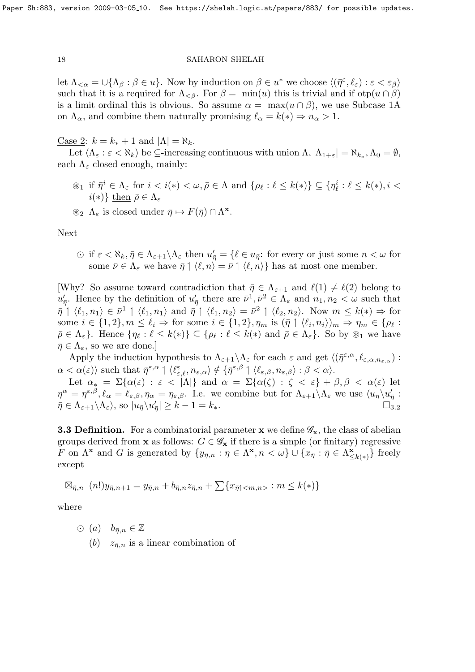let  $\Lambda_{<\alpha} = \cup \{\Lambda_\beta : \beta \in u\}$ . Now by induction on  $\beta \in u^*$  we choose  $\langle (\bar{\eta}^{\varepsilon}, \ell_{\varepsilon}) : \varepsilon < \varepsilon_\beta \rangle$ such that it is a required for  $\Lambda_{\leq \beta}$ . For  $\beta = \min(u)$  this is trivial and if  $otp(u \cap \beta)$ is a limit ordinal this is obvious. So assume  $\alpha = \max(u \cap \beta)$ , we use Subcase 1A on  $\Lambda_{\alpha}$ , and combine them naturally promising  $\ell_{\alpha} = k(*) \Rightarrow n_{\alpha} > 1$ .

<u>Case 2</u>:  $k = k_* + 1$  and  $|\Lambda| = \aleph_k$ .

Let  $\langle \Lambda_{\varepsilon} : \varepsilon \langle \Lambda_k \rangle$  be  $\subseteq$ -increasing continuous with union  $\Lambda, |\Lambda_{1+\varepsilon}| = \aleph_{k_*}, \Lambda_0 = \emptyset$ , each  $\Lambda_{\varepsilon}$  closed enough, mainly:

- $\mathcal{L}_1$  if  $\overline{\eta}^i \in \Lambda_{\varepsilon}$  for  $i < i(*) < \omega, \overline{\rho} \in \Lambda$  and  $\{\rho_\ell : \ell \leq k(*)\} \subseteq \{\eta_\ell^i : \ell \leq k(*)\}$ ,  $i <$  $i(*)\}$  then  $\bar{\rho} \in \Lambda_{\varepsilon}$
- $\circledast_2 \Lambda_{\varepsilon}$  is closed under  $\bar{\eta} \mapsto F(\bar{\eta}) \cap \Lambda^{\mathbf{x}}$ .

Next

 $\text{if } \varepsilon < \aleph_k, \bar{\eta} \in \Lambda_{\varepsilon+1} \backslash \Lambda_{\varepsilon} \text{ then } u'_{\bar{\eta}} = \{ \ell \in u_{\bar{\eta}} \text{: for every or just some } n < \omega \text{ for } \ell \leq \ell \}$ some  $\bar{\nu} \in \Lambda_{\varepsilon}$  we have  $\bar{\eta} \restriction \langle \ell, n \rangle = \bar{\nu} \restriction \langle \ell, n \rangle$  has at most one member.

[Why? So assume toward contradiction that  $\bar{\eta} \in \Lambda_{\varepsilon+1}$  and  $\ell(1) \neq \ell(2)$  belong to  $u'_{\bar{\eta}}$ . Hence by the definition of  $u'_{\bar{\eta}}$  there are  $\bar{\nu}^1, \bar{\nu}^2 \in \Lambda_{\varepsilon}$  and  $n_1, n_2 < \omega$  such that  $\bar{\eta}$  |  $\langle \ell_1, n_1 \rangle \in \bar{\nu}^1$  |  $\langle \ell_1, n_1 \rangle$  and  $\bar{\eta}$  |  $\langle \ell_1, n_2 \rangle = \bar{\nu}^2$  |  $\langle \ell_2, n_2 \rangle$ . Now  $m \leq k(*) \Rightarrow$  for some  $i \in \{1,2\}, m \leq \ell_i \Rightarrow$  for some  $i \in \{1,2\}, \eta_m$  is  $(\bar{\eta} \upharpoonright \langle \ell_i, n_i \rangle)_m \Rightarrow \eta_m \in {\rho_\ell}$ :  $\bar{\rho} \in \Lambda_{\varepsilon}$ . Hence  $\{\eta_{\ell} : \ell \leq k(*)\} \subseteq \{\rho_{\ell} : \ell \leq k(*)\}$  and  $\bar{\rho} \in \Lambda_{\varepsilon}\}$ . So by  $\otimes_1$  we have  $\bar{\eta} \in \Lambda_{\varepsilon}$ , so we are done.

Apply the induction hypothesis to  $\Lambda_{\varepsilon+1}\setminus \Lambda_{\varepsilon}$  for each  $\varepsilon$  and get  $\langle (\bar{\eta}^{\varepsilon,\alpha}, \ell_{\varepsilon,\alpha,n_{\varepsilon,\alpha}}) :$  $\alpha < \alpha(\varepsilon)$  such that  $\bar{\eta}^{\varepsilon,\alpha} \mid \langle \ell^{\varepsilon}_{\varepsilon,\ell}, n_{\varepsilon,\alpha} \rangle \notin \{ \bar{\eta}^{\varepsilon,\beta} \mid \langle \ell_{\varepsilon,\beta}, n_{\varepsilon,\beta} \rangle : \beta < \alpha \rangle$ .

Let  $\alpha_* = \Sigma\{\alpha(\varepsilon) : \varepsilon < |\Lambda|\}$  and  $\alpha = \Sigma\{\alpha(\zeta) : \zeta < \varepsilon\} + \beta, \beta < \alpha(\varepsilon)$  let  $\eta^{\alpha} = \eta^{\varepsilon,\beta}, \ell_{\alpha} = \ell_{\varepsilon,\beta}, \eta_{\alpha} = \eta_{\varepsilon,\beta}.$  I.e. we combine but for  $\Lambda_{\varepsilon+1} \setminus \Lambda_{\varepsilon}$  we use  $\langle u_{\bar{\eta}} \rangle u_{\bar{\eta}}'$ :  $\bar{\eta} \in \Lambda_{\varepsilon+1} \backslash \Lambda_{\varepsilon}$ , so  $|u_{\bar{\eta}} \backslash u'_{\bar{\eta}}| \geq k-1 = k_*$ .

**3.3 Definition.** For a combinatorial parameter **x** we define  $\mathscr{G}_{\mathbf{x}}$ , the class of abelian groups derived from **x** as follows:  $G \in \mathscr{G}_{\mathbf{x}}$  if there is a simple (or finitary) regressive F on  $\Lambda^{\mathbf{x}}$  and G is generated by  $\{y_{\bar{\eta},n} : \eta \in \Lambda^{\mathbf{x}}, n < \omega\} \cup \{x_{\bar{\eta}} : \bar{\eta} \in \Lambda^{\mathbf{x}}\}$  $\{z_{k(*)}\}\$  freely except

$$
\boxtimes_{\bar{\eta},n} (n!)y_{\bar{\eta},n+1} = y_{\bar{\eta},n} + b_{\bar{\eta},n}z_{\bar{\eta},n} + \sum \{x_{\bar{\eta}}(n,n)} : m \leq k(*)\}
$$

where

- $\odot$  (a)  $b_{\bar{n},n} \in \mathbb{Z}$ 
	- (b)  $z_{\bar{n},n}$  is a linear combination of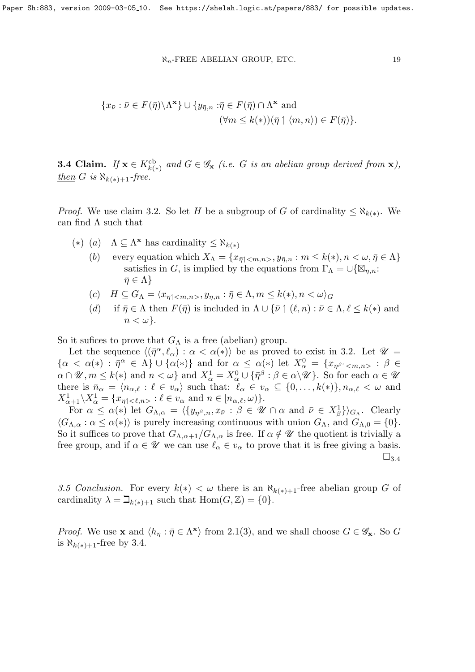$$
^{19}
$$

$$
\{x_{\bar{\nu}} : \bar{\nu} \in F(\bar{\eta}) \setminus \Lambda^{\mathbf{x}}\} \cup \{y_{\bar{\eta},n} : \bar{\eta} \in F(\bar{\eta}) \cap \Lambda^{\mathbf{x}} \text{ and }
$$

$$
(\forall m \le k(*))(\bar{\eta} \upharpoonright \langle m, n \rangle) \in F(\bar{\eta})\}.
$$

**3.4 Claim.** If  $\mathbf{x} \in K^{\text{cb}}_{k(*)}$  and  $G \in \mathscr{G}_{\mathbf{x}}$  (i.e. G is an abelian group derived from  $\mathbf{x}$ ),  $\underline{then} \ G \ is \ \aleph_{k(*)+1}$ -free.

*Proof.* We use claim 3.2. So let H be a subgroup of G of cardinality  $\leq \aleph_{k(*)}$ . We can find  $\Lambda$  such that

- (\*) (a)  $\Lambda \subseteq \Lambda^{\mathbf{x}}$  has cardinality  $\leq \aleph_{k(*)}$ 
	- (b) every equation which  $X_{\Lambda} = \{x_{\bar{\eta} \mid \langle m,n \rangle}, y_{\bar{\eta},n} : m \leq k(*) , n < \omega, \bar{\eta} \in \Lambda \}$ satisfies in G, is implied by the equations from  $\Gamma_{\Lambda} = \cup \{ \boxtimes_{\bar{\eta},n} :$  $\bar{\eta} \in \Lambda$
	- (c)  $H \subseteq G_{\Lambda} = \langle x_{\overline{n}} \rangle \langle x_{m,n} \rangle, y_{\overline{n},n} : \overline{\eta} \in \Lambda, m \leq k(*) , n < \omega \rangle_G$
	- (d) if  $\bar{\eta} \in \Lambda$  then  $F(\bar{\eta})$  is included in  $\Lambda \cup {\bar{\nu} \mid (\ell, n) : \bar{\nu} \in \Lambda, \ell \leq k(*)}$  and  $n < \omega$ .

So it sufices to prove that  $G_{\Lambda}$  is a free (abelian) group.

Let the sequence  $\langle (\bar{\eta}^{\alpha}, \ell_{\alpha}) : \alpha < \alpha(*) \rangle$  be as proved to exist in 3.2. Let  $\mathscr{U} =$  $\{\alpha < \alpha(*) \,:\, \bar{\eta}^{\alpha} \in \Lambda\} \cup \{\alpha(*)\}$  and for  $\alpha \leq \alpha(*)$  let  $X_{\alpha}^{0} = \{x_{\bar{\eta}^{\beta}}\}_{\leq m,n>} : \beta \in$  $\alpha \cap \mathscr{U}, m \leq k(*)$  and  $n < \omega$  and  $X^1_\alpha = X^0_\alpha \cup {\{\overline{\eta}}^\beta : \beta \in \alpha \setminus \mathscr{U}}$ . So for each  $\alpha \in \mathscr{U}$ there is  $\bar{n}_{\alpha} = \langle n_{\alpha,\ell} : \ell \in v_{\alpha} \rangle$  such that:  $\ell_{\alpha} \in v_{\alpha} \subseteq \{0, \ldots, k(*)\}, n_{\alpha,\ell} < \omega$  and  $X_{\alpha+1}^1 \backslash X_\alpha^1 = \{x_{\bar{\eta}}<\ell,n> : \ell \in v_\alpha \text{ and } n \in [n_{\alpha,\ell},\omega)\}.$ 

For  $\alpha \leq \alpha(*)$  let  $G_{\Lambda,\alpha} = \langle \{y_{\bar{\eta}^{\beta},n}, x_{\bar{\nu}} : \beta \in \mathcal{U} \cap \alpha \text{ and } \bar{\nu} \in X_{\beta}^1 \} \rangle_{G_{\Lambda}}$ . Clearly  $\langle G_{\Lambda,\alpha} : \alpha \leq \alpha(*) \rangle$  is purely increasing continuous with union  $G_{\Lambda}$ , and  $G_{\Lambda,0} = \{0\}.$ So it suffices to prove that  $G_{\Lambda,\alpha+1}/G_{\Lambda,\alpha}$  is free. If  $\alpha \notin \mathscr{U}$  the quotient is trivially a free group, and if  $\alpha \in \mathscr{U}$  we can use  $\ell_{\alpha} \in v_{\alpha}$  to prove that it is free giving a basis.  $\square_{3.4}$ 

3.5 Conclusion. For every  $k(*) < \omega$  there is an  $\aleph_{k(*)+1}$ -free abelian group G of cardinality  $\lambda = \beth_{k(*)+1}$  such that  $\text{Hom}(G, \mathbb{Z}) = \{0\}.$ 

*Proof.* We use **x** and  $\langle h_{\overline{\eta}} : \overline{\eta} \in \Lambda^{\mathbf{x}} \rangle$  from 2.1(3), and we shall choose  $G \in \mathscr{G}_{\mathbf{x}}$ . So G is  $\aleph_{k(*)+1}$ -free by 3.4.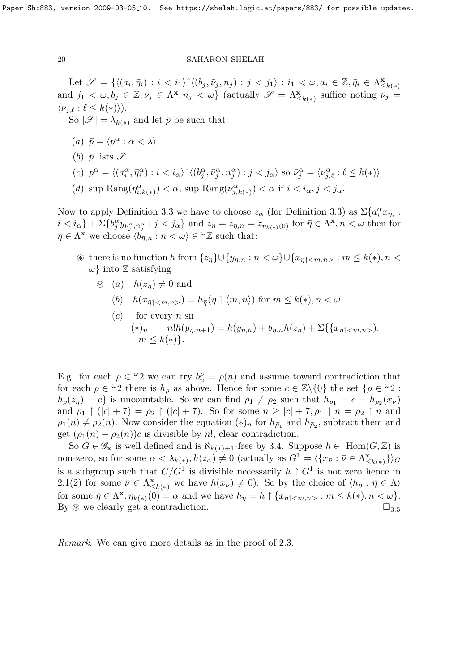Let  $\mathscr{S} = \{ \langle (a_i, \bar{\eta}_i) : i \langle b_j, \bar{\nu}_j, n_j \rangle : j \langle j_1 \rangle : i_1 \langle \omega, a_i \in \mathbb{Z}, \bar{\eta}_i \in \Lambda \rangle \}$  $\leq k(*)$ and  $j_1 < \omega, b_j \in \mathbb{Z}, \nu_j \in \Lambda^{\mathbf{x}}, n_j < \omega$  (actually  $\mathscr{S} = \Lambda^{\mathbf{x}}_{\leq k(*)}$  suffice noting  $\overline{\nu}_j =$  $\langle \nu_{j,\ell} : \ell \leq k(*) \rangle$ ).

So  $|\mathscr{S}| = \lambda_{k(*)}$  and let  $\bar{p}$  be such that:

- (a)  $\bar{p} = \langle p^{\alpha} : \alpha < \lambda \rangle$
- (b)  $\bar{p}$  lists  $\mathscr S$
- (c)  $p^{\alpha} = \langle (a_i^{\alpha}, \bar{\eta}_i^{\alpha}) : i \langle b_j^{\alpha}, \bar{\nu}_j^{\alpha}, \eta_j^{\alpha} \rangle : j \langle b_k^{\alpha}, \bar{\nu}_j^{\alpha}, \eta_k^{\alpha} \rangle : j \langle b_k^{\alpha} \rangle$  so  $\bar{\nu}_j^{\alpha} = \langle \nu_{j,\ell}^{\alpha} : \ell \leq k(*) \rangle$
- (*d*) sup Rang( $\eta_i^{\alpha}$  $\lambda_{i,k(*)}^{\alpha}$ ) <  $\alpha$ , sup Rang $(\nu_{j,k}^{\alpha})$  $j_{j,k(*)}^{\alpha}$ )  $< \alpha$  if  $i < i_{\alpha}, j < j_{\alpha}$ .

Now to apply Definition 3.3 we have to choose  $z_{\alpha}$  (for Definition 3.3) as  $\Sigma \{a_i^{\alpha} x_{\bar{\eta}_i}$ :  $i < i_{\alpha}$ } +  $\Sigma\{b_j^{\alpha}y_{\bar{\nu}_j^{\alpha},n_j^{\alpha}} : j < j_{\alpha}\}\$  and  $z_{\bar{\eta}} = z_{\bar{\eta},n} = z_{\eta_{k(*)}(0)}$  for  $\bar{\eta} \in \Lambda^{\mathbf{x}}, n < \omega$  then for  $\bar{\eta} \in \Lambda^{\mathbf{x}}$  we choose  $\langle b_{\bar{\eta},n} : n \langle \omega \rangle \in {}^{\omega} \mathbb{Z}$  such that:

- $\mathcal{F}$  there is no function h from  $\{z_{\overline{n}}\}\cup\{y_{\overline{n},n}:n<\omega\}\cup\{x_{\overline{n}|} :m\leq k(*)\}$ ,  $n<\infty$  $\omega$ } into Z satisfying
	- $\circledast$  (a)  $h(z_{\bar{n}}) \neq 0$  and
		- (b)  $h(x_{\overline{n}|} ) = h_{\overline{n}}(\overline{\eta} \upharpoonright \langle m,n \rangle)$  for  $m \leq k(*)$ ,  $n < \omega$
		- $(c)$  for every *n* sn  $(*)_n$   $n!h(y_{\bar{n},n+1}) = h(y_{\bar{n},n}) + b_{\bar{n},n}h(z_{\bar{n}}) + \sum \{x_{\bar{n}1} \leq m,n \}$ :  $m \leq k(*)$ .

E.g. for each  $\rho \in \mathcal{Q}$  we can try  $b_n^{\rho} = \rho(n)$  and assume toward contradiction that for each  $\rho \in {}^{\omega_2}$  there is  $h_{\rho}$  as above. Hence for some  $c \in \mathbb{Z}\backslash \{0\}$  the set  $\{\rho \in {}^{\omega_2}$ :  $h_{\rho}(z_{\bar{\eta}}) = c$ } is uncountable. So we can find  $\rho_1 \neq \rho_2$  such that  $h_{\rho_1} = c = h_{\rho_2}(x_{\nu})$ and  $\rho_1 \restriction (|c| + 7) = \rho_2 \restriction (|c| + 7)$ . So for some  $n \geq |c| + 7, \rho_1 \restriction n = \rho_2 \restriction n$  and  $\rho_1(n) \neq \rho_2(n)$ . Now consider the equation  $(*)_n$  for  $h_{\bar{\rho}_1}$  and  $h_{\bar{\rho}_2}$ , subtract them and get  $(\rho_1(n) - \rho_2(n))c$  is divisible by n!, clear contradiction.

So  $G \in \mathscr{G}_{\mathbf{x}}$  is well defined and is  $\aleph_{k(*)+1}$ -free by 3.4. Suppose  $h \in \text{Hom}(G, \mathbb{Z})$  is non-zero, so for some  $\alpha < \lambda_{k(*)}, h(z_\alpha) \neq 0$  (actually as  $G^1 = \langle \{x_{\bar{\nu}} : \bar{\nu} \in \Lambda \times \} \rangle$  $\sum_{n\leq k(*)}^{\mathbf{x}}\}\rangle_G$ is a subgroup such that  $G/G^1$  is divisible necessarily  $h \restriction G^1$  is not zero hence in 2.1(2) for some  $\bar{\nu} \in \Lambda_{\leq}^{\mathbf{x}}$  $\sum_{k\leq k(*)}^{\mathbf{x}}$  we have  $h(x_{\bar{\nu}})\neq 0$ . So by the choice of  $\langle h_{\bar{\eta}}: \bar{\eta} \in \Lambda \rangle$ for some  $\bar{\eta} \in \Lambda^{\mathbf{x}}, \eta_{k(*)}(\bar{0}) = \alpha$  and we have  $h_{\bar{\eta}} = h \upharpoonright \{x_{\bar{\eta}} \mid < m, n > : m \leq k(*) , n < \omega\}.$ By  $\otimes$  we clearly get a contradiction.  $\square_{3.5}$ 

Remark. We can give more details as in the proof of 2.3.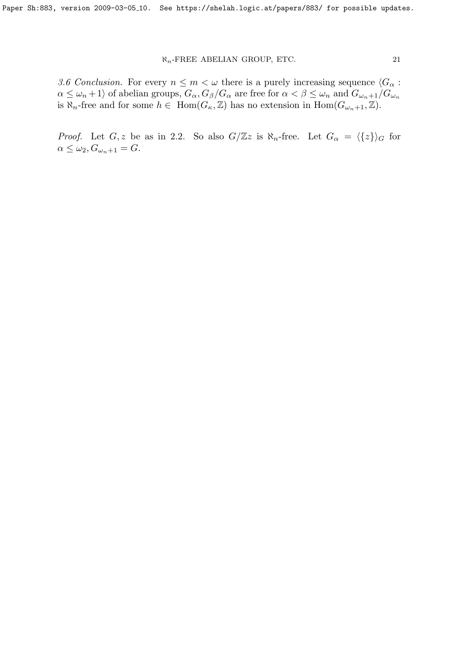3.6 Conclusion. For every  $n \leq m < \omega$  there is a purely increasing sequence  $\langle G_{\alpha} :$  $\alpha \leq \omega_n+1$  of abelian groups,  $G_{\alpha}$ ,  $G_{\beta}/G_{\alpha}$  are free for  $\alpha < \beta \leq \omega_n$  and  $G_{\omega_n+1}/G_{\omega_n}$ is  $\overline{\aleph_n}$ -free and for some  $h \in \text{Hom}(G_{\kappa}, \mathbb{Z})$  has no extension in  $\text{Hom}(G_{\omega_n+1}, \mathbb{Z})$ .

*Proof.* Let  $G, z$  be as in 2.2. So also  $G/\mathbb{Z}z$  is  $\aleph_n$ -free. Let  $G_\alpha = \langle \{z\} \rangle_G$  for  $\alpha \leq \omega_2, G_{\omega_n+1} = G.$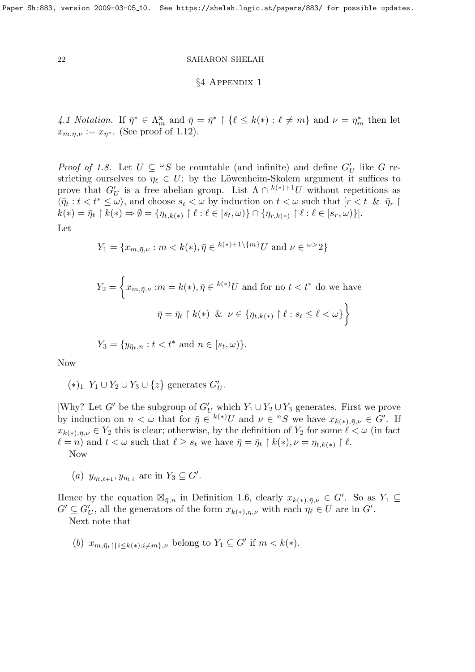### §4 Appendix 1

4.1 Notation. If  $\bar{\eta}^* \in \Lambda_m^{\mathbf{x}}$  and  $\bar{\eta} = \bar{\eta}^* \restriction \{\ell \leq k(*) : \ell \neq m\}$  and  $\nu = \eta_m^*$  then let  $x_{m,\bar{\eta},\nu} := x_{\bar{\eta}^*}$ . (See proof of 1.12).

*Proof of 1.8.* Let  $U \subseteq {}^{\omega}S$  be countable (and infinite) and define  $G'_U$  like G restricting ourselves to  $\eta_\ell \in U$ ; by the Löwenheim-Skolem argument it suffices to prove that  $G'_U$  is a free abelian group. List  $\Lambda \cap {^{k(*)}}^{\perp}U$  without repetitions as  $\langle \bar{\eta}_t : t < t^* \leq \omega \rangle$ , and choose  $s_t < \omega$  by induction on  $t < \omega$  such that  $[r < t \& \bar{\eta}_r]$  $k(*) = \bar{\eta}_t \restriction k(*) \Rightarrow \emptyset = \{\eta_{t,k(*)} \restriction \ell : \ell \in [s_t, \omega)\} \cap \{\eta_{r,k(*)} \restriction \ell : \ell \in [s_r, \omega)\}].$ 

Let

$$
Y_1 = \{x_{m,\bar{\eta},\nu} : m < k(*) , \bar{\eta} \in k^{(*)+1} \setminus \{m\} U \text{ and } \nu \in \omega > 2 \}
$$

$$
Y_2 = \left\{ x_{m,\bar{\eta},\nu} : m = k(*) , \bar{\eta} \in {}^{k(*)}U \text{ and for no } t < t^* \text{ do we have} \right\}
$$

$$
\bar{\eta} = \bar{\eta}_t \upharpoonright k(*) \& \nu \in \left\{ \eta_{t,k(*)} \upharpoonright \ell : s_t \le \ell < \omega \right\}
$$

$$
Y_3 = \{ y_{\bar{\eta}_t, n} : t < t^* \text{ and } n \in [s_t, \omega) \}.
$$

Now

$$
(*)_1 Y_1 \cup Y_2 \cup Y_3 \cup \{z\} \text{ generates } G'_U.
$$

[Why? Let G' be the subgroup of  $G'_U$  which  $Y_1 \cup Y_2 \cup Y_3$  generates. First we prove by induction on  $n < \omega$  that for  $\bar{\eta} \in {}^{k(*)}U$  and  $\nu \in {}^{n}S$  we have  $x_{k(*), \bar{\eta}, \nu} \in G'$ . If  $x_{k(*)\bar{\eta},\nu} \in Y_2$  this is clear; otherwise, by the definition of  $Y_2$  for some  $\ell < \omega$  (in fact  $\ell = n$  and  $t < \omega$  such that  $\ell \geq s_t$  we have  $\bar{\eta} = \bar{\eta}_t \restriction k(*)$ ,  $\nu = \eta_{t,k(*)} \restriction \ell$ . Now

(a)  $y_{\bar{\eta}_{t,\ell+1}}, y_{\bar{\eta}_{t,\ell}}$  are in  $Y_3 \subseteq G'.$ 

Hence by the equation  $\boxtimes_{\bar{\eta},n}$  in Definition 1.6, clearly  $x_{k(*),\bar{\eta},\nu} \in G'$ . So as  $Y_1 \subseteq$  $G' \subseteq G'_U$ , all the generators of the form  $x_{k(*), \bar{\eta}, \nu}$  with each  $\eta_\ell \in U$  are in  $G'$ .

Next note that

(b)  $x_{m,\bar{\eta}_t}$  { $\{i \leq k(*) : i \neq m\}$ , belong to  $Y_1 \subseteq G'$  if  $m < k(*)$ .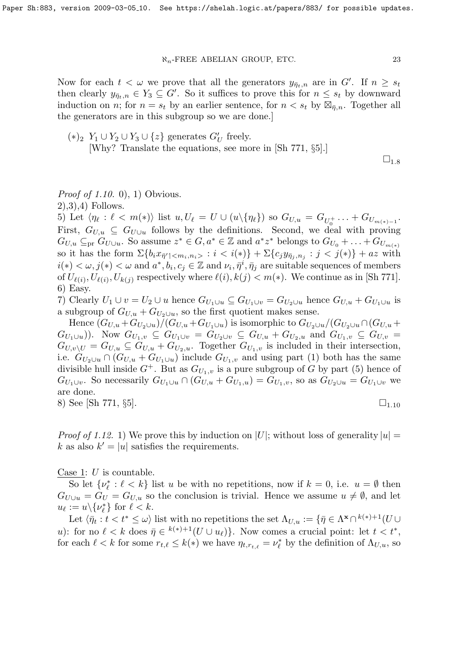Now for each  $t < \omega$  we prove that all the generators  $y_{\bar{\eta}_t,n}$  are in G'. If  $n \geq s_t$ then clearly  $y_{\bar{\eta}_t,n} \in Y_3 \subseteq G'$ . So it suffices to prove this for  $n \leq s_t$  by downward induction on *n*; for  $n = s_t$  by an earlier sentence, for  $n < s_t$  by  $\mathbb{Z}_{\bar{\eta},n}$ . Together all the generators are in this subgroup so we are done.]

 $\square_{1.8}$ 

# *Proof of 1.10.* 0), 1) Obvious.

2),3),4) Follows.

5) Let  $\langle \eta_{\ell} : \ell < m(*) \rangle$  list  $u, U_{\ell} = U \cup (u \setminus {\eta_{\ell}})$  so  $G_{U,u} = G_{U_0^+} \dots + G_{U_{m(*)-1}}$ . First,  $G_{U,u} \subseteq G_{U\cup u}$  follows by the definitions. Second, we deal with proving  $G_{U,u} \subseteq_{\text{pr}} G_{U\cup u}$ . So assume  $z^* \in G, a^* \in \mathbb{Z}$  and  $a^*z^*$  belongs to  $G_{U_0} + \ldots + G_{U_{m(*)}}$ so it has the form  $\Sigma\{b_ix_{\bar{\eta}'}\vert < m_i, n_i > : i < i(*)\} + \Sigma\{c_jy_{\bar{\eta}_j,n_j} : j < j(*)\} + az$  with  $i(*) < \omega, j(*) < \omega$  and  $a^*, b_i, c_j \in \mathbb{Z}$  and  $\nu_i, \bar{\eta}^i, \bar{\eta}_j$  are suitable sequences of members of  $U_{\ell(i)}$ ,  $U_{\ell(i)}$ ,  $U_{k(j)}$  respectively where  $\ell(i)$ ,  $k(j) < m(*)$ . We continue as in [Sh 771]. 6) Easy.

7) Clearly  $U_1 \cup v = U_2 \cup u$  hence  $G_{U_1 \cup u} \subseteq G_{U_1 \cup v} = G_{U_2 \cup u}$  hence  $G_{U,u} + G_{U_1 \cup u}$  is a subgroup of  $G_{U,u} + G_{U_2 \cup u}$ , so the first quotient makes sense.

Hence  $(G_{U,u} + G_{U_2\cup u})/(G_{U,u} + G_{U_1\cup u})$  is isomorphic to  $G_{U_2\cup u}/(G_{U_2\cup u} \cap (G_{U,u} + G_{U_2\cup u}))$  $(G_{U_1\cup u})$ ). Now  $G_{U_1,v} \subseteq G_{U_1\cup v} = G_{U_2\cup v} \subseteq G_{U,u} + G_{U_2,u}$  and  $G_{U_1,v} \subseteq G_{U,v}$  $G_{U,v\setminus U} = G_{U,u} \subseteq G_{U,u} + G_{U_2,u}$ . Together  $G_{U_1,v}$  is included in their intersection, i.e.  $G_{U_2\cup u} \cap (G_{U,u} + G_{U_1\cup u})$  include  $G_{U_1,v}$  and using part (1) both has the same divisible hull inside  $G^+$ . But as  $G_{U_1,v}$  is a pure subgroup of G by part (5) hence of  $G_{U_1\cup v}$ . So necessarily  $G_{U_1\cup u} \cap (G_{U,u} + G_{U_1,u}) = G_{U_1,v}$ , so as  $G_{U_2\cup u} = G_{U_1\cup v}$  we are done.

8) See [Sh 771,  $\S5$ ].  $\Box$ 

*Proof of 1.12.* 1) We prove this by induction on |U|; without loss of generality  $|u| =$ k as also  $k' = |u|$  satisfies the requirements.

Case 1:  $U$  is countable.

So let  $\{\nu_{\ell}^* : \ell < k\}$  list u be with no repetitions, now if  $k = 0$ , i.e.  $u = \emptyset$  then  $G_{U\cup u} = G_U = G_{U,u}$  so the conclusion is trivial. Hence we assume  $u \neq \emptyset$ , and let  $u_{\ell} := u \backslash {\{\nu_{\ell}^* \}}$  for  $\ell < k$ .

Let  $\langle \bar{\eta}_t : t < t^* \leq \omega \rangle$  list with no repetitions the set  $\Lambda_{U,u} := \{ \bar{\eta} \in \Lambda^{\mathbf{x}} \cap {}^{k(*)+1}(U \cup$ u): for no  $\ell < k$  does  $\bar{\eta} \in {}^{k(*)+1}(U \cup u_{\ell})\}$ . Now comes a crucial point: let  $t < t^*$ , for each  $\ell < k$  for some  $r_{t,\ell} \leq k(*)$  we have  $\eta_{t,r_{t,\ell}} = \nu_{\ell}^*$  by the definition of  $\Lambda_{U,u}$ , so

 $(*)_2$  Y<sub>1</sub> ∪ Y<sub>2</sub> ∪ Y<sub>3</sub> ∪ {z} generates  $G'_U$  freely. [Why? Translate the equations, see more in [Sh 771, §5].]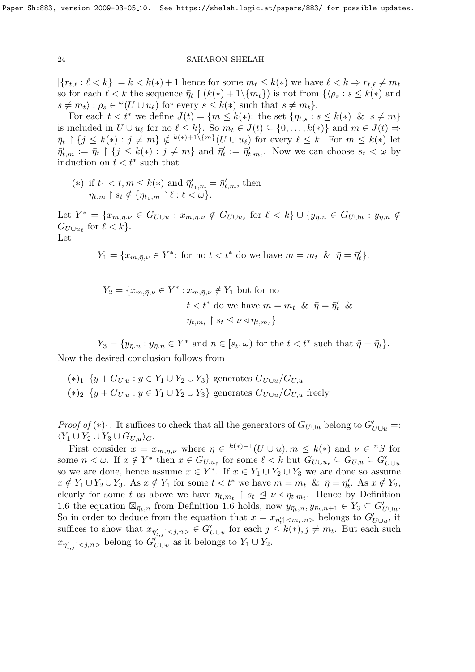$|\{r_{t,\ell} : \ell < k\}| = k < k(*) + 1$  hence for some  $m_t \leq k(*)$  we have  $\ell < k \Rightarrow r_{t,\ell} \neq m_t$ so for each  $\ell < k$  the sequence  $\bar{\eta}_t \restriction (k(*) + 1 \setminus \{m_t\})$  is not from  $\{\langle \rho_s : s \leq k(*) \rangle\}$  and  $s \neq m_t$ ) :  $\rho_s \in {}^{\omega}(U \cup u_\ell)$  for every  $s \leq k(*)$  such that  $s \neq m_t$ .

For each  $t < t^*$  we define  $J(t) = \{m \leq k(*)\}$ : the set  $\{\eta_{t,s} : s \leq k(*) \& s \neq m\}$ is included in  $U \cup u_\ell$  for no  $\ell \leq k$ . So  $m_t \in J(t) \subseteq \{0, \ldots, k(*)\}$  and  $m \in J(t) \Rightarrow$  $\bar{\eta}_t \restriction \{j \leq k(*) : j \neq m\} \notin {}^{k(*)+1\setminus\{m\}}(U \cup u_\ell)$  for every  $\ell \leq k$ . For  $m \leq k(*)$  let  $\bar{\eta}'_{t,m} := \bar{\eta}_t \restriction \{j \leq k(*) : j \neq m\}$  and  $\bar{\eta}'_t := \bar{\eta}'_{t,m_t}$ . Now we can choose  $s_t < \omega$  by induction on  $t < t^*$  such that

(\*) if  $t_1 < t, m \leq k(*)$  and  $\bar{\eta}'_{t_1,m} = \bar{\eta}'_{t,m}$ , then  $\eta_{t,m} \restriction s_t \notin \{\eta_{t_1,m} \restriction \ell : \ell < \omega\}.$ 

Let  $Y^* = \{x_{m,\bar{\eta},\nu} \in G_{U\cup u} : x_{m,\bar{\eta},\nu} \notin G_{U\cup u_{\ell}} \text{ for } \ell < k\} \cup \{y_{\bar{\eta},n} \in G_{U\cup u} : y_{\bar{\eta},n} \notin G_{U\cup u_{\ell}}\}$  $G_{U\cup u_{\ell}}$  for  $\ell < k$ . Let

$$
Y_1 = \{x_{m,\bar{\eta},\nu} \in Y^* \colon \text{for no } t < t^* \text{ do we have } m = m_t \ \& \ \bar{\eta} = \bar{\eta}'_t\}.
$$

$$
Y_2 = \{x_{m,\bar{\eta},\nu} \in Y^* : x_{m,\bar{\eta},\nu} \notin Y_1 \text{ but for no}
$$
  

$$
t < t^* \text{ do we have } m = m_t \& \bar{\eta} = \bar{\eta}'_t \&
$$
  

$$
\eta_{t,m_t} \upharpoonright s_t \leq \nu \triangleleft \eta_{t,m_t} \}
$$

 $Y_3 = \{y_{\overline{\eta},n} : y_{\overline{\eta},n} \in Y^* \text{ and } n \in [s_t,\omega) \text{ for the } t < t^* \text{ such that } \overline{\eta} = \overline{\eta}_t\}.$ Now the desired conclusion follows from

 $(*)_1 \{y + G_{U,u} : y \in Y_1 \cup Y_2 \cup Y_3\}$  generates  $G_{U \cup u}/G_{U,u}$  $(*)_2 \{y + G_{U,u} : y \in Y_1 \cup Y_2 \cup Y_3\}$  generates  $G_{U \cup u}/G_{U,u}$  freely.

*Proof of* (\*)<sub>1</sub>. It suffices to check that all the generators of  $G_{U\cup u}$  belong to  $G'_{U\cup u}$  =:  $\langle Y_1 \cup Y_2 \cup Y_3 \cup G_{U,u} \rangle_G.$ 

First consider  $x = x_{m,\bar{\eta},\nu}$  where  $\eta \in {}^{k(*)+1}(U \cup u), m \leq k(*)$  and  $\nu \in {}^{n}S$  for some  $n < \omega$ . If  $x \notin Y^*$  then  $x \in G_{U,u_\ell}$  for some  $\ell < k$  but  $G_{U \cup u_\ell} \subseteq G_{U,u} \subseteq G'_{U \cup u}$ so we are done, hence assume  $x \in Y^*$ . If  $x \in Y_1 \cup Y_2 \cup Y_3$  we are done so assume  $x \notin Y_1 \cup Y_2 \cup Y_3$ . As  $x \notin Y_1$  for some  $t < t^*$  we have  $m = m_t \& \bar{\eta} = \eta'_t$ . As  $x \notin Y_2$ , clearly for some t as above we have  $\eta_{t,m_t} \restriction s_t \leq \nu \triangleleft \eta_{t,m_t}$ . Hence by Definition 1.6 the equation  $\boxtimes_{\bar{\eta}_t,n}$  from Definition 1.6 holds, now  $y_{\bar{\eta}_t,n}, y_{\bar{\eta}_t,n+1} \in Y_3 \subseteq G'_{U \cup u}$ . So in order to deduce from the equation that  $x = x_{\bar{\eta}'_t | < m_t, n>0}$  belongs to  $G'_{U \cup u}$ , it suffices to show that  $x_{\bar{\eta}'_{t,j} | < j,n>} \in G'_{U \cup u}$  for each  $j \leq k(*)$ ,  $j \neq m_t$ . But each such  $x_{\bar{\eta}'_{t,j} | < j,n>}$  belong to  $G'_{U \cup u}$  as it belongs to  $Y_1 \cup Y_2$ .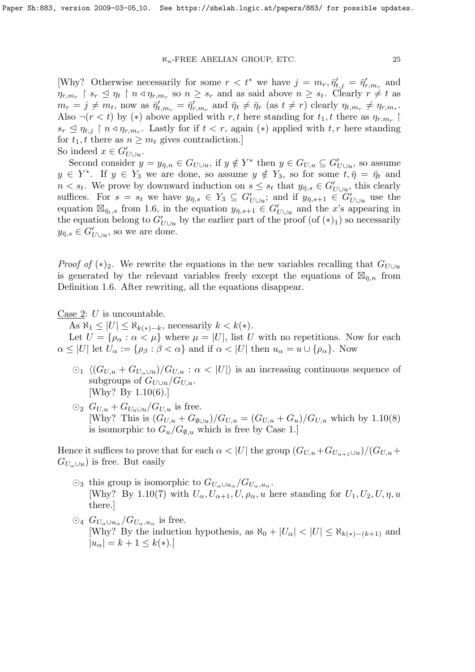[Why? Otherwise necessarily for some  $r < t^*$  we have  $j = m_r, \bar{\eta}'_{t,j} = \bar{\eta}'_{r,m_r}$  and  $\eta_{r,m_r} \restriction s_r \leq \eta_t \restriction n \triangleleft \eta_{r,m_r}$  so  $n \geq s_r$  and as said above  $n \geq s_t$ . Clearly  $r \neq t$  as  $m_r = j \neq m_t$ , now as  $\bar{\eta}'_{t,m_r} = \bar{\eta}'_{r,m_r}$  and  $\bar{\eta}_t \neq \bar{\eta}_r$  (as  $t \neq r$ ) clearly  $\eta_{t,m_r} \neq \eta_{r,m_r}$ . Also  $\neg (r \lt t)$  by (\*) above applied with r, t here standing for  $t_1, t$  there as  $\eta_{r,m_r}$  $s_r \leq \eta_{t,j}$  |  $n \leq \eta_{r,m_r}$ . Lastly for if  $t < r$ , again (\*) applied with  $t, r$  here standing for  $t_1$ , t there as  $n \geq m_t$  gives contradiction.] So indeed  $x \in G'_{U \cup u}$ .

Second consider  $y = y_{\bar{\eta},n} \in G_{U\cup u}$ , if  $y \notin Y^*$  then  $y \in G_{U,u} \subseteq G'_{U\cup u}$ , so assume  $y \in Y^*$ . If  $y \in Y_3$  we are done, so assume  $y \notin Y_3$ , so for some  $t, \overline{\eta} = \overline{\eta}_t$  and  $n < s_t$ . We prove by downward induction on  $s \leq s_t$  that  $y_{\bar{\eta},s} \in G'_{U \cup u}$ , this clearly suffices. For  $s = s_t$  we have  $y_{\bar{\eta},s} \in Y_3 \subseteq G'_{U \cup u}$ ; and if  $y_{\bar{\eta},s+1} \in G'_{U \cup u}$  use the equation  $\boxtimes_{\bar{\eta}_t,s}$  from 1.6, in the equation  $y_{\bar{\eta},s+1} \in G'_{U \cup u}$  and the x's appearing in the equation belong to  $G'_{U\cup u}$  by the earlier part of the proof (of  $(*)_1$ ) so necessarily  $y_{\bar{\eta},s} \in G'_{U \cup u}$ , so we are done.

*Proof of* (\*)<sub>2</sub>. We rewrite the equations in the new variables recalling that  $G_{U\cup u}$ is generated by the relevant variables freely except the equations of  $\mathbb{Z}_{\bar{\eta},n}$  from Definition 1.6. After rewriting, all the equations disappear.

Case 2:  $U$  is uncountable.

As  $\aleph_1 \leq |U| \leq \aleph_{k(*)-k}$ , necessarily  $k < k(*)$ .

Let  $U = {\rho_{\alpha} : \alpha < \mu}$  where  $\mu = |U|$ , list U with no repetitions. Now for each  $\alpha \leq |U|$  let  $U_{\alpha} := \{\rho_{\beta} : \beta < \alpha\}$  and if  $\alpha < |U|$  then  $u_{\alpha} = u \cup \{\rho_{\alpha}\}\$ . Now

- $\Omega_1 \langle (G_{U,u} + G_{U_{\alpha} \cup u})/G_{U,u} : \alpha < |U| \rangle$  is an increasing continuous sequence of subgroups of  $G_{U\cup u}/G_{U,u}$ . [Why? By 1.10(6).]
- $\odot_2$   $G_{U,u} + G_{U_0 \cup u}/G_{U,u}$  is free. [Why? This is  $(G_{U,u} + G_{\emptyset \cup u})/G_{U,u} = (G_{U,u} + G_u)/G_{U,u}$  which by 1.10(8) is isomorphic to  $G_u/G_{\emptyset,u}$  which is free by Case 1.]

Hence it suffices to prove that for each  $\alpha < |U|$  the group  $(G_{U,u}+G_{U_{\alpha+1}\cup u})/(G_{U,u}+G_{U_{\alpha+1}\cup u})$  $G_{U_{\alpha}\cup u}$ ) is free. But easily

- $\odot$ <sub>3</sub> this group is isomorphic to  $G_{U_\alpha\cup u_\alpha}/G_{U_\alpha,u_\alpha}$ . [Why? By 1.10(7) with  $U_{\alpha}$ ,  $U_{\alpha+1}$ ,  $U_{\alpha}$ ,  $\mu$  here standing for  $U_1$ ,  $U_2$ ,  $U_{\alpha}$ ,  $\eta$ ,  $u$ there.]
- $\odot_4$   $G_{U_\alpha\cup u_\alpha}/G_{U_\alpha,u_\alpha}$  is free. [Why? By the induction hypothesis, as  $\aleph_0 + |U_\alpha| < |U| \leq \aleph_{k(*)-(k+1)}$  and  $|u_{\alpha}| = k + 1 \leq k(*)$ .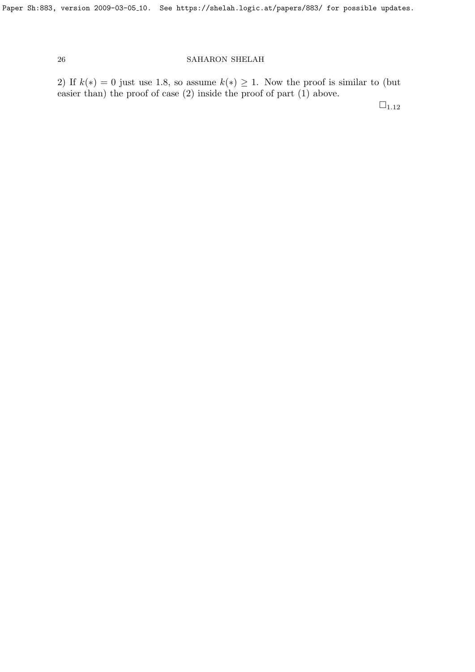2) If  $k(*) = 0$  just use 1.8, so assume  $k(*) \geq 1$ . Now the proof is similar to (but easier than) the proof of case (2) inside the proof of part (1) above.

 $\Box_{1.12}$